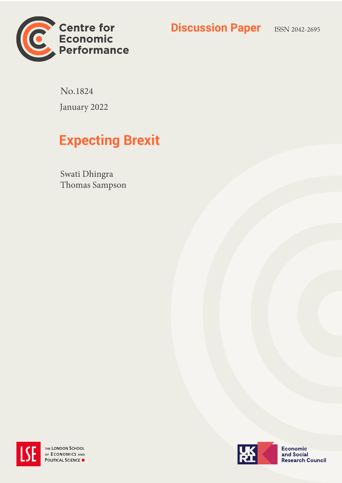



No.1824 January 2022

# **Expecting Brexit**

Swati Dhingra Thomas Sampson



THE LONDON SCHOOL OF ECONOMICS AND POLITICAL SCIENCE



**Economic** and Social **Research Council**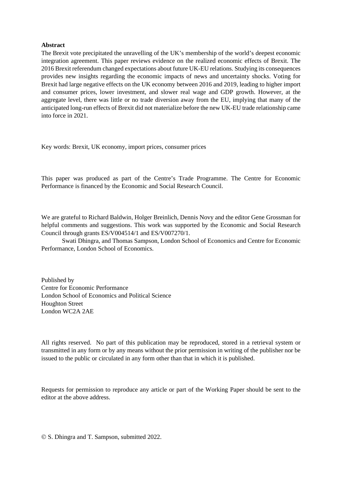#### **Abstract**

The Brexit vote precipitated the unravelling of the UK's membership of the world's deepest economic integration agreement. This paper reviews evidence on the realized economic effects of Brexit. The 2016 Brexit referendum changed expectations about future UK-EU relations. Studying its consequences provides new insights regarding the economic impacts of news and uncertainty shocks. Voting for Brexit had large negative effects on the UK economy between 2016 and 2019, leading to higher import and consumer prices, lower investment, and slower real wage and GDP growth. However, at the aggregate level, there was little or no trade diversion away from the EU, implying that many of the anticipated long-run effects of Brexit did not materialize before the new UK-EU trade relationship came into force in 2021.

Key words: Brexit, UK economy, import prices, consumer prices

This paper was produced as part of the Centre's Trade Programme. The Centre for Economic Performance is financed by the Economic and Social Research Council.

We are grateful to Richard Baldwin, Holger Breinlich, Dennis Novy and the editor Gene Grossman for helpful comments and suggestions. This work was supported by the Economic and Social Research Council through grants ES/V004514/1 and ES/V007270/1.

Swati Dhingra, and Thomas Sampson, London School of Economics and Centre for Economic Performance, London School of Economics.

Published by Centre for Economic Performance London School of Economics and Political Science Houghton Street London WC2A 2AE

All rights reserved. No part of this publication may be reproduced, stored in a retrieval system or transmitted in any form or by any means without the prior permission in writing of the publisher nor be issued to the public or circulated in any form other than that in which it is published.

Requests for permission to reproduce any article or part of the Working Paper should be sent to the editor at the above address.

© S. Dhingra and T. Sampson, submitted 2022.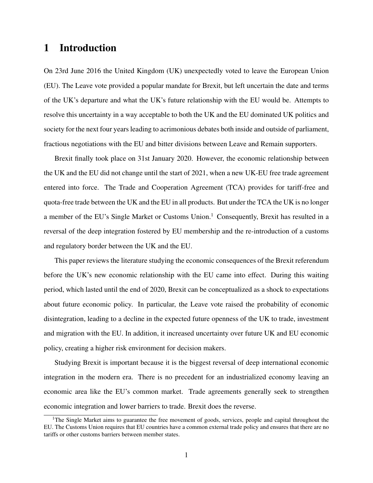### 1 Introduction

On 23rd June 2016 the United Kingdom (UK) unexpectedly voted to leave the European Union (EU). The Leave vote provided a popular mandate for Brexit, but left uncertain the date and terms of the UK's departure and what the UK's future relationship with the EU would be. Attempts to resolve this uncertainty in a way acceptable to both the UK and the EU dominated UK politics and society for the next four years leading to acrimonious debates both inside and outside of parliament, fractious negotiations with the EU and bitter divisions between Leave and Remain supporters.

Brexit finally took place on 31st January 2020. However, the economic relationship between the UK and the EU did not change until the start of 2021, when a new UK-EU free trade agreement entered into force. The Trade and Cooperation Agreement (TCA) provides for tariff-free and quota-free trade between the UK and the EU in all products. But under the TCA the UK is no longer a member of the EU's Single Market or Customs Union.<sup>1</sup> Consequently, Brexit has resulted in a reversal of the deep integration fostered by EU membership and the re-introduction of a customs and regulatory border between the UK and the EU.

This paper reviews the literature studying the economic consequences of the Brexit referendum before the UK's new economic relationship with the EU came into effect. During this waiting period, which lasted until the end of 2020, Brexit can be conceptualized as a shock to expectations about future economic policy. In particular, the Leave vote raised the probability of economic disintegration, leading to a decline in the expected future openness of the UK to trade, investment and migration with the EU. In addition, it increased uncertainty over future UK and EU economic policy, creating a higher risk environment for decision makers.

Studying Brexit is important because it is the biggest reversal of deep international economic integration in the modern era. There is no precedent for an industrialized economy leaving an economic area like the EU's common market. Trade agreements generally seek to strengthen economic integration and lower barriers to trade. Brexit does the reverse.

<sup>&</sup>lt;sup>1</sup>The Single Market aims to guarantee the free movement of goods, services, people and capital throughout the EU. The Customs Union requires that EU countries have a common external trade policy and ensures that there are no tariffs or other customs barriers between member states.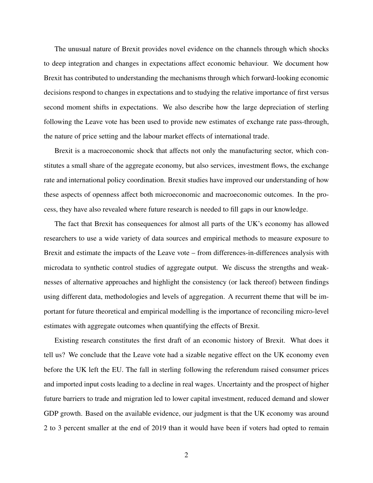The unusual nature of Brexit provides novel evidence on the channels through which shocks to deep integration and changes in expectations affect economic behaviour. We document how Brexit has contributed to understanding the mechanisms through which forward-looking economic decisions respond to changes in expectations and to studying the relative importance of first versus second moment shifts in expectations. We also describe how the large depreciation of sterling following the Leave vote has been used to provide new estimates of exchange rate pass-through, the nature of price setting and the labour market effects of international trade.

Brexit is a macroeconomic shock that affects not only the manufacturing sector, which constitutes a small share of the aggregate economy, but also services, investment flows, the exchange rate and international policy coordination. Brexit studies have improved our understanding of how these aspects of openness affect both microeconomic and macroeconomic outcomes. In the process, they have also revealed where future research is needed to fill gaps in our knowledge.

The fact that Brexit has consequences for almost all parts of the UK's economy has allowed researchers to use a wide variety of data sources and empirical methods to measure exposure to Brexit and estimate the impacts of the Leave vote – from differences-in-differences analysis with microdata to synthetic control studies of aggregate output. We discuss the strengths and weaknesses of alternative approaches and highlight the consistency (or lack thereof) between findings using different data, methodologies and levels of aggregation. A recurrent theme that will be important for future theoretical and empirical modelling is the importance of reconciling micro-level estimates with aggregate outcomes when quantifying the effects of Brexit.

Existing research constitutes the first draft of an economic history of Brexit. What does it tell us? We conclude that the Leave vote had a sizable negative effect on the UK economy even before the UK left the EU. The fall in sterling following the referendum raised consumer prices and imported input costs leading to a decline in real wages. Uncertainty and the prospect of higher future barriers to trade and migration led to lower capital investment, reduced demand and slower GDP growth. Based on the available evidence, our judgment is that the UK economy was around 2 to 3 percent smaller at the end of 2019 than it would have been if voters had opted to remain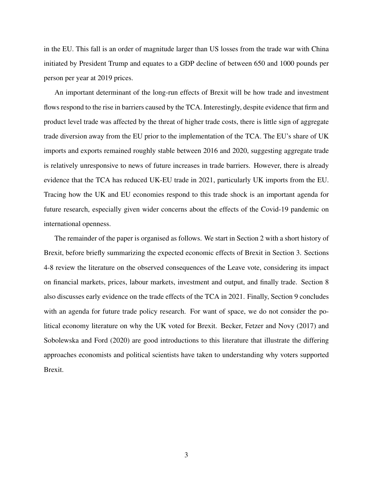in the EU. This fall is an order of magnitude larger than US losses from the trade war with China initiated by President Trump and equates to a GDP decline of between 650 and 1000 pounds per person per year at 2019 prices.

An important determinant of the long-run effects of Brexit will be how trade and investment flows respond to the rise in barriers caused by the TCA. Interestingly, despite evidence that firm and product level trade was affected by the threat of higher trade costs, there is little sign of aggregate trade diversion away from the EU prior to the implementation of the TCA. The EU's share of UK imports and exports remained roughly stable between 2016 and 2020, suggesting aggregate trade is relatively unresponsive to news of future increases in trade barriers. However, there is already evidence that the TCA has reduced UK-EU trade in 2021, particularly UK imports from the EU. Tracing how the UK and EU economies respond to this trade shock is an important agenda for future research, especially given wider concerns about the effects of the Covid-19 pandemic on international openness.

The remainder of the paper is organised as follows. We start in Section 2 with a short history of Brexit, before briefly summarizing the expected economic effects of Brexit in Section 3. Sections 4-8 review the literature on the observed consequences of the Leave vote, considering its impact on financial markets, prices, labour markets, investment and output, and finally trade. Section 8 also discusses early evidence on the trade effects of the TCA in 2021. Finally, Section 9 concludes with an agenda for future trade policy research. For want of space, we do not consider the political economy literature on why the UK voted for Brexit. Becker, Fetzer and Novy (2017) and Sobolewska and Ford (2020) are good introductions to this literature that illustrate the differing approaches economists and political scientists have taken to understanding why voters supported Brexit.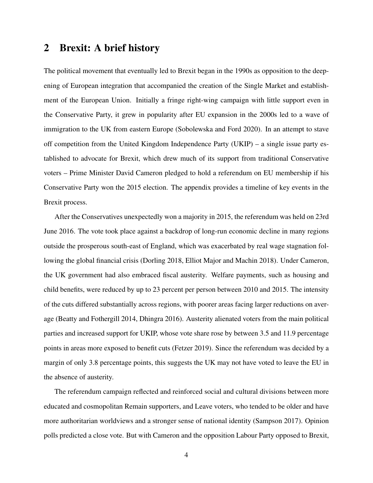### 2 Brexit: A brief history

The political movement that eventually led to Brexit began in the 1990s as opposition to the deepening of European integration that accompanied the creation of the Single Market and establishment of the European Union. Initially a fringe right-wing campaign with little support even in the Conservative Party, it grew in popularity after EU expansion in the 2000s led to a wave of immigration to the UK from eastern Europe (Sobolewska and Ford 2020). In an attempt to stave off competition from the United Kingdom Independence Party (UKIP) – a single issue party established to advocate for Brexit, which drew much of its support from traditional Conservative voters – Prime Minister David Cameron pledged to hold a referendum on EU membership if his Conservative Party won the 2015 election. The appendix provides a timeline of key events in the Brexit process.

After the Conservatives unexpectedly won a majority in 2015, the referendum was held on 23rd June 2016. The vote took place against a backdrop of long-run economic decline in many regions outside the prosperous south-east of England, which was exacerbated by real wage stagnation following the global financial crisis (Dorling 2018, Elliot Major and Machin 2018). Under Cameron, the UK government had also embraced fiscal austerity. Welfare payments, such as housing and child benefits, were reduced by up to 23 percent per person between 2010 and 2015. The intensity of the cuts differed substantially across regions, with poorer areas facing larger reductions on average (Beatty and Fothergill 2014, Dhingra 2016). Austerity alienated voters from the main political parties and increased support for UKIP, whose vote share rose by between 3.5 and 11.9 percentage points in areas more exposed to benefit cuts (Fetzer 2019). Since the referendum was decided by a margin of only 3.8 percentage points, this suggests the UK may not have voted to leave the EU in the absence of austerity.

The referendum campaign reflected and reinforced social and cultural divisions between more educated and cosmopolitan Remain supporters, and Leave voters, who tended to be older and have more authoritarian worldviews and a stronger sense of national identity (Sampson 2017). Opinion polls predicted a close vote. But with Cameron and the opposition Labour Party opposed to Brexit,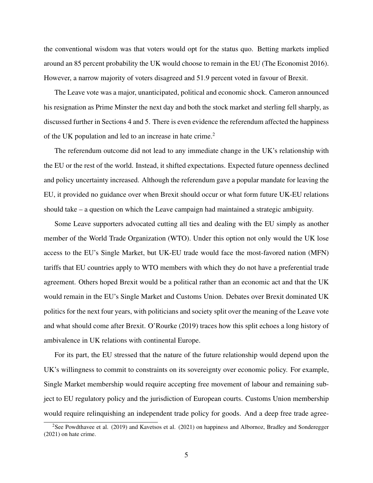the conventional wisdom was that voters would opt for the status quo. Betting markets implied around an 85 percent probability the UK would choose to remain in the EU (The Economist 2016). However, a narrow majority of voters disagreed and 51.9 percent voted in favour of Brexit.

The Leave vote was a major, unanticipated, political and economic shock. Cameron announced his resignation as Prime Minster the next day and both the stock market and sterling fell sharply, as discussed further in Sections 4 and 5. There is even evidence the referendum affected the happiness of the UK population and led to an increase in hate crime.<sup>2</sup>

The referendum outcome did not lead to any immediate change in the UK's relationship with the EU or the rest of the world. Instead, it shifted expectations. Expected future openness declined and policy uncertainty increased. Although the referendum gave a popular mandate for leaving the EU, it provided no guidance over when Brexit should occur or what form future UK-EU relations should take – a question on which the Leave campaign had maintained a strategic ambiguity.

Some Leave supporters advocated cutting all ties and dealing with the EU simply as another member of the World Trade Organization (WTO). Under this option not only would the UK lose access to the EU's Single Market, but UK-EU trade would face the most-favored nation (MFN) tariffs that EU countries apply to WTO members with which they do not have a preferential trade agreement. Others hoped Brexit would be a political rather than an economic act and that the UK would remain in the EU's Single Market and Customs Union. Debates over Brexit dominated UK politics for the next four years, with politicians and society split over the meaning of the Leave vote and what should come after Brexit. O'Rourke (2019) traces how this split echoes a long history of ambivalence in UK relations with continental Europe.

For its part, the EU stressed that the nature of the future relationship would depend upon the UK's willingness to commit to constraints on its sovereignty over economic policy. For example, Single Market membership would require accepting free movement of labour and remaining subject to EU regulatory policy and the jurisdiction of European courts. Customs Union membership would require relinquishing an independent trade policy for goods. And a deep free trade agree-

<sup>&</sup>lt;sup>2</sup>See Powdthavee et al. (2019) and Kavetsos et al. (2021) on happiness and Albornoz, Bradley and Sonderegger (2021) on hate crime.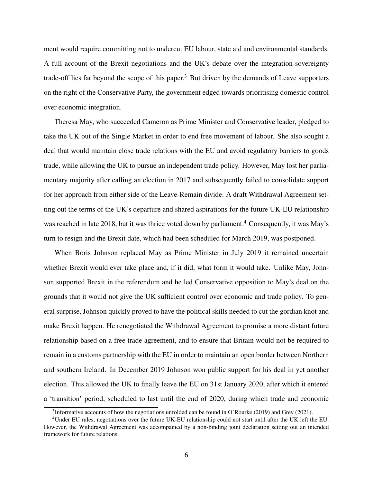ment would require committing not to undercut EU labour, state aid and environmental standards. A full account of the Brexit negotiations and the UK's debate over the integration-sovereignty trade-off lies far beyond the scope of this paper.<sup>3</sup> But driven by the demands of Leave supporters on the right of the Conservative Party, the government edged towards prioritising domestic control over economic integration.

Theresa May, who succeeded Cameron as Prime Minister and Conservative leader, pledged to take the UK out of the Single Market in order to end free movement of labour. She also sought a deal that would maintain close trade relations with the EU and avoid regulatory barriers to goods trade, while allowing the UK to pursue an independent trade policy. However, May lost her parliamentary majority after calling an election in 2017 and subsequently failed to consolidate support for her approach from either side of the Leave-Remain divide. A draft Withdrawal Agreement setting out the terms of the UK's departure and shared aspirations for the future UK-EU relationship was reached in late 2018, but it was thrice voted down by parliament.<sup>4</sup> Consequently, it was May's turn to resign and the Brexit date, which had been scheduled for March 2019, was postponed.

When Boris Johnson replaced May as Prime Minister in July 2019 it remained uncertain whether Brexit would ever take place and, if it did, what form it would take. Unlike May, Johnson supported Brexit in the referendum and he led Conservative opposition to May's deal on the grounds that it would not give the UK sufficient control over economic and trade policy. To general surprise, Johnson quickly proved to have the political skills needed to cut the gordian knot and make Brexit happen. He renegotiated the Withdrawal Agreement to promise a more distant future relationship based on a free trade agreement, and to ensure that Britain would not be required to remain in a customs partnership with the EU in order to maintain an open border between Northern and southern Ireland. In December 2019 Johnson won public support for his deal in yet another election. This allowed the UK to finally leave the EU on 31st January 2020, after which it entered a 'transition' period, scheduled to last until the end of 2020, during which trade and economic

<sup>&</sup>lt;sup>3</sup>Informative accounts of how the negotiations unfolded can be found in O'Rourke (2019) and Grey (2021).

<sup>&</sup>lt;sup>4</sup>Under EU rules, negotiations over the future UK-EU relationship could not start until after the UK left the EU. However, the Withdrawal Agreement was accompanied by a non-binding joint declaration setting out an intended framework for future relations.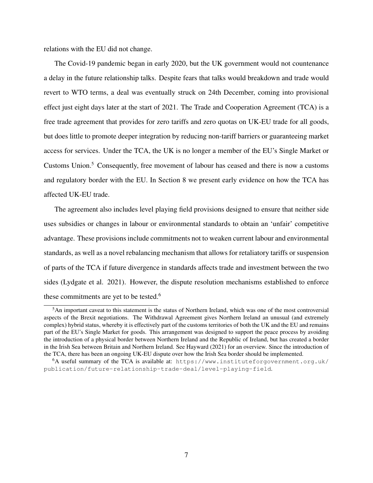relations with the EU did not change.

The Covid-19 pandemic began in early 2020, but the UK government would not countenance a delay in the future relationship talks. Despite fears that talks would breakdown and trade would revert to WTO terms, a deal was eventually struck on 24th December, coming into provisional effect just eight days later at the start of 2021. The Trade and Cooperation Agreement (TCA) is a free trade agreement that provides for zero tariffs and zero quotas on UK-EU trade for all goods, but does little to promote deeper integration by reducing non-tariff barriers or guaranteeing market access for services. Under the TCA, the UK is no longer a member of the EU's Single Market or Customs Union.<sup>5</sup> Consequently, free movement of labour has ceased and there is now a customs and regulatory border with the EU. In Section 8 we present early evidence on how the TCA has affected UK-EU trade.

The agreement also includes level playing field provisions designed to ensure that neither side uses subsidies or changes in labour or environmental standards to obtain an 'unfair' competitive advantage. These provisions include commitments not to weaken current labour and environmental standards, as well as a novel rebalancing mechanism that allows for retaliatory tariffs or suspension of parts of the TCA if future divergence in standards affects trade and investment between the two sides (Lydgate et al. 2021). However, the dispute resolution mechanisms established to enforce these commitments are yet to be tested.<sup>6</sup>

<sup>5</sup>An important caveat to this statement is the status of Northern Ireland, which was one of the most controversial aspects of the Brexit negotiations. The Withdrawal Agreement gives Northern Ireland an unusual (and extremely complex) hybrid status, whereby it is effectively part of the customs territories of both the UK and the EU and remains part of the EU's Single Market for goods. This arrangement was designed to support the peace process by avoiding the introduction of a physical border between Northern Ireland and the Republic of Ireland, but has created a border in the Irish Sea between Britain and Northern Ireland. See Hayward (2021) for an overview. Since the introduction of the TCA, there has been an ongoing UK-EU dispute over how the Irish Sea border should be implemented.

 $6A$  useful summary of the TCA is available at: https://www.instituteforgovernment.org.uk/ publication/future-relationship-trade-deal/level-playing-field.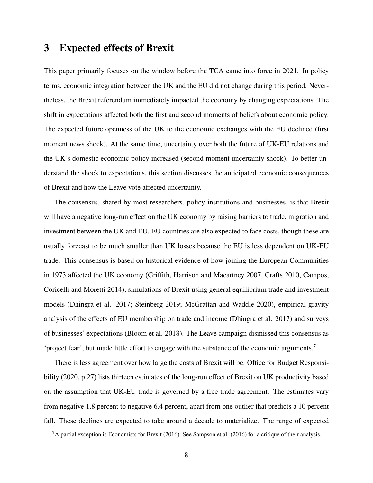## 3 Expected effects of Brexit

This paper primarily focuses on the window before the TCA came into force in 2021. In policy terms, economic integration between the UK and the EU did not change during this period. Nevertheless, the Brexit referendum immediately impacted the economy by changing expectations. The shift in expectations affected both the first and second moments of beliefs about economic policy. The expected future openness of the UK to the economic exchanges with the EU declined (first moment news shock). At the same time, uncertainty over both the future of UK-EU relations and the UK's domestic economic policy increased (second moment uncertainty shock). To better understand the shock to expectations, this section discusses the anticipated economic consequences of Brexit and how the Leave vote affected uncertainty.

The consensus, shared by most researchers, policy institutions and businesses, is that Brexit will have a negative long-run effect on the UK economy by raising barriers to trade, migration and investment between the UK and EU. EU countries are also expected to face costs, though these are usually forecast to be much smaller than UK losses because the EU is less dependent on UK-EU trade. This consensus is based on historical evidence of how joining the European Communities in 1973 affected the UK economy (Griffith, Harrison and Macartney 2007, Crafts 2010, Campos, Coricelli and Moretti 2014), simulations of Brexit using general equilibrium trade and investment models (Dhingra et al. 2017; Steinberg 2019; McGrattan and Waddle 2020), empirical gravity analysis of the effects of EU membership on trade and income (Dhingra et al. 2017) and surveys of businesses' expectations (Bloom et al. 2018). The Leave campaign dismissed this consensus as 'project fear', but made little effort to engage with the substance of the economic arguments.<sup>7</sup>

There is less agreement over how large the costs of Brexit will be. Office for Budget Responsibility (2020, p.27) lists thirteen estimates of the long-run effect of Brexit on UK productivity based on the assumption that UK-EU trade is governed by a free trade agreement. The estimates vary from negative 1.8 percent to negative 6.4 percent, apart from one outlier that predicts a 10 percent fall. These declines are expected to take around a decade to materialize. The range of expected

 ${}^{7}$ A partial exception is Economists for Brexit (2016). See Sampson et al. (2016) for a critique of their analysis.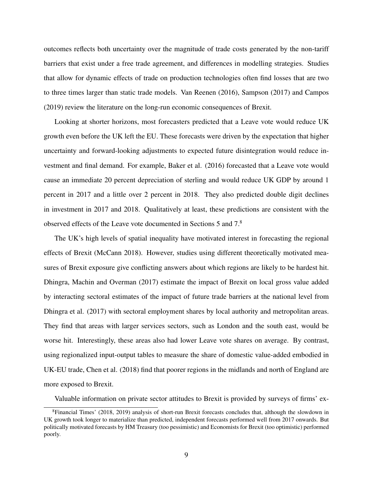outcomes reflects both uncertainty over the magnitude of trade costs generated by the non-tariff barriers that exist under a free trade agreement, and differences in modelling strategies. Studies that allow for dynamic effects of trade on production technologies often find losses that are two to three times larger than static trade models. Van Reenen (2016), Sampson (2017) and Campos (2019) review the literature on the long-run economic consequences of Brexit.

Looking at shorter horizons, most forecasters predicted that a Leave vote would reduce UK growth even before the UK left the EU. These forecasts were driven by the expectation that higher uncertainty and forward-looking adjustments to expected future disintegration would reduce investment and final demand. For example, Baker et al. (2016) forecasted that a Leave vote would cause an immediate 20 percent depreciation of sterling and would reduce UK GDP by around 1 percent in 2017 and a little over 2 percent in 2018. They also predicted double digit declines in investment in 2017 and 2018. Qualitatively at least, these predictions are consistent with the observed effects of the Leave vote documented in Sections 5 and 7.<sup>8</sup>

The UK's high levels of spatial inequality have motivated interest in forecasting the regional effects of Brexit (McCann 2018). However, studies using different theoretically motivated measures of Brexit exposure give conflicting answers about which regions are likely to be hardest hit. Dhingra, Machin and Overman (2017) estimate the impact of Brexit on local gross value added by interacting sectoral estimates of the impact of future trade barriers at the national level from Dhingra et al. (2017) with sectoral employment shares by local authority and metropolitan areas. They find that areas with larger services sectors, such as London and the south east, would be worse hit. Interestingly, these areas also had lower Leave vote shares on average. By contrast, using regionalized input-output tables to measure the share of domestic value-added embodied in UK-EU trade, Chen et al. (2018) find that poorer regions in the midlands and north of England are more exposed to Brexit.

Valuable information on private sector attitudes to Brexit is provided by surveys of firms' ex-

<sup>8</sup>Financial Times' (2018, 2019) analysis of short-run Brexit forecasts concludes that, although the slowdown in UK growth took longer to materialize than predicted, independent forecasts performed well from 2017 onwards. But politically motivated forecasts by HM Treasury (too pessimistic) and Economists for Brexit (too optimistic) performed poorly.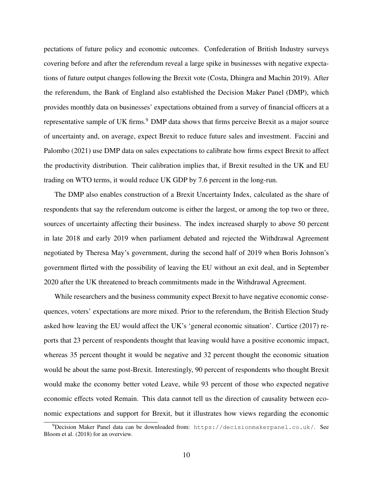pectations of future policy and economic outcomes. Confederation of British Industry surveys covering before and after the referendum reveal a large spike in businesses with negative expectations of future output changes following the Brexit vote (Costa, Dhingra and Machin 2019). After the referendum, the Bank of England also established the Decision Maker Panel (DMP), which provides monthly data on businesses' expectations obtained from a survey of financial officers at a representative sample of UK firms.<sup>9</sup> DMP data shows that firms perceive Brexit as a major source of uncertainty and, on average, expect Brexit to reduce future sales and investment. Faccini and Palombo (2021) use DMP data on sales expectations to calibrate how firms expect Brexit to affect the productivity distribution. Their calibration implies that, if Brexit resulted in the UK and EU trading on WTO terms, it would reduce UK GDP by 7.6 percent in the long-run.

The DMP also enables construction of a Brexit Uncertainty Index, calculated as the share of respondents that say the referendum outcome is either the largest, or among the top two or three, sources of uncertainty affecting their business. The index increased sharply to above 50 percent in late 2018 and early 2019 when parliament debated and rejected the Withdrawal Agreement negotiated by Theresa May's government, during the second half of 2019 when Boris Johnson's government flirted with the possibility of leaving the EU without an exit deal, and in September 2020 after the UK threatened to breach commitments made in the Withdrawal Agreement.

While researchers and the business community expect Brexit to have negative economic consequences, voters' expectations are more mixed. Prior to the referendum, the British Election Study asked how leaving the EU would affect the UK's 'general economic situation'. Curtice (2017) reports that 23 percent of respondents thought that leaving would have a positive economic impact, whereas 35 percent thought it would be negative and 32 percent thought the economic situation would be about the same post-Brexit. Interestingly, 90 percent of respondents who thought Brexit would make the economy better voted Leave, while 93 percent of those who expected negative economic effects voted Remain. This data cannot tell us the direction of causality between economic expectations and support for Brexit, but it illustrates how views regarding the economic

 $9$ Decision Maker Panel data can be downloaded from: https://decisionmakerpanel.co.uk/. See Bloom et al. (2018) for an overview.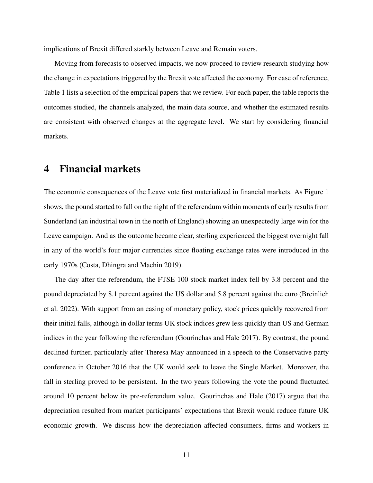implications of Brexit differed starkly between Leave and Remain voters.

Moving from forecasts to observed impacts, we now proceed to review research studying how the change in expectations triggered by the Brexit vote affected the economy. For ease of reference, Table 1 lists a selection of the empirical papers that we review. For each paper, the table reports the outcomes studied, the channels analyzed, the main data source, and whether the estimated results are consistent with observed changes at the aggregate level. We start by considering financial markets.

#### 4 Financial markets

The economic consequences of the Leave vote first materialized in financial markets. As Figure 1 shows, the pound started to fall on the night of the referendum within moments of early results from Sunderland (an industrial town in the north of England) showing an unexpectedly large win for the Leave campaign. And as the outcome became clear, sterling experienced the biggest overnight fall in any of the world's four major currencies since floating exchange rates were introduced in the early 1970s (Costa, Dhingra and Machin 2019).

The day after the referendum, the FTSE 100 stock market index fell by 3.8 percent and the pound depreciated by 8.1 percent against the US dollar and 5.8 percent against the euro (Breinlich et al. 2022). With support from an easing of monetary policy, stock prices quickly recovered from their initial falls, although in dollar terms UK stock indices grew less quickly than US and German indices in the year following the referendum (Gourinchas and Hale 2017). By contrast, the pound declined further, particularly after Theresa May announced in a speech to the Conservative party conference in October 2016 that the UK would seek to leave the Single Market. Moreover, the fall in sterling proved to be persistent. In the two years following the vote the pound fluctuated around 10 percent below its pre-referendum value. Gourinchas and Hale (2017) argue that the depreciation resulted from market participants' expectations that Brexit would reduce future UK economic growth. We discuss how the depreciation affected consumers, firms and workers in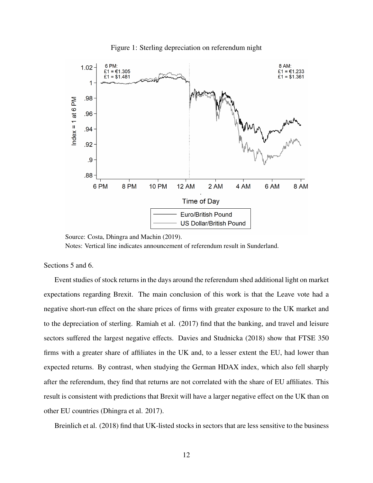

Figure 1: Sterling depreciation on referendum night

Source: Costa, Dhingra and Machin (2019).

Notes: Vertical line indicates announcement of referendum result in Sunderland.

#### Sections 5 and 6.

Event studies of stock returns in the days around the referendum shed additional light on market expectations regarding Brexit. The main conclusion of this work is that the Leave vote had a negative short-run effect on the share prices of firms with greater exposure to the UK market and to the depreciation of sterling. Ramiah et al. (2017) find that the banking, and travel and leisure sectors suffered the largest negative effects. Davies and Studnicka (2018) show that FTSE 350 firms with a greater share of affiliates in the UK and, to a lesser extent the EU, had lower than expected returns. By contrast, when studying the German HDAX index, which also fell sharply after the referendum, they find that returns are not correlated with the share of EU affiliates. This result is consistent with predictions that Brexit will have a larger negative effect on the UK than on other EU countries (Dhingra et al. 2017).

Breinlich et al. (2018) find that UK-listed stocks in sectors that are less sensitive to the business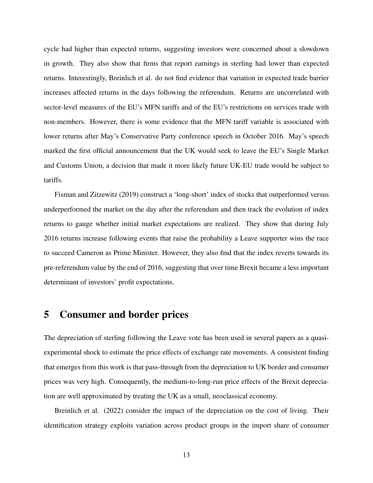cycle had higher than expected returns, suggesting investors were concerned about a slowdown in growth. They also show that firms that report earnings in sterling had lower than expected returns. Interestingly, Breinlich et al. do not find evidence that variation in expected trade barrier increases affected returns in the days following the referendum. Returns are uncorrelated with sector-level measures of the EU's MFN tariffs and of the EU's restrictions on services trade with non-members. However, there is some evidence that the MFN tariff variable is associated with lower returns after May's Conservative Party conference speech in October 2016. May's speech marked the first official announcement that the UK would seek to leave the EU's Single Market and Customs Union, a decision that made it more likely future UK-EU trade would be subject to tariffs.

Fisman and Zitzewitz (2019) construct a 'long-short' index of stocks that outperformed versus underperformed the market on the day after the referendum and then track the evolution of index returns to gauge whether initial market expectations are realized. They show that during July 2016 returns increase following events that raise the probability a Leave supporter wins the race to succeed Cameron as Prime Minister. However, they also find that the index reverts towards its pre-referendum value by the end of 2016, suggesting that over time Brexit became a less important determinant of investors' profit expectations.

## 5 Consumer and border prices

The depreciation of sterling following the Leave vote has been used in several papers as a quasiexperimental shock to estimate the price effects of exchange rate movements. A consistent finding that emerges from this work is that pass-through from the depreciation to UK border and consumer prices was very high. Consequently, the medium-to-long-run price effects of the Brexit depreciation are well approximated by treating the UK as a small, neoclassical economy.

Breinlich et al. (2022) consider the impact of the depreciation on the cost of living. Their identification strategy exploits variation across product groups in the import share of consumer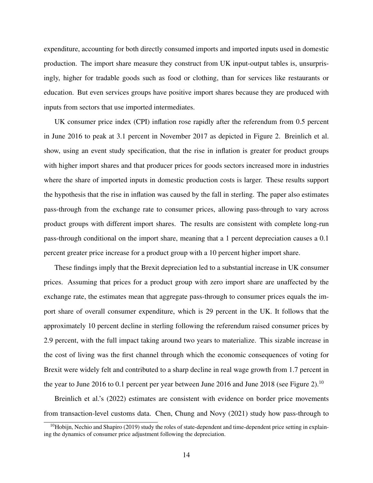expenditure, accounting for both directly consumed imports and imported inputs used in domestic production. The import share measure they construct from UK input-output tables is, unsurprisingly, higher for tradable goods such as food or clothing, than for services like restaurants or education. But even services groups have positive import shares because they are produced with inputs from sectors that use imported intermediates.

UK consumer price index (CPI) inflation rose rapidly after the referendum from 0.5 percent in June 2016 to peak at 3.1 percent in November 2017 as depicted in Figure 2. Breinlich et al. show, using an event study specification, that the rise in inflation is greater for product groups with higher import shares and that producer prices for goods sectors increased more in industries where the share of imported inputs in domestic production costs is larger. These results support the hypothesis that the rise in inflation was caused by the fall in sterling. The paper also estimates pass-through from the exchange rate to consumer prices, allowing pass-through to vary across product groups with different import shares. The results are consistent with complete long-run pass-through conditional on the import share, meaning that a 1 percent depreciation causes a 0.1 percent greater price increase for a product group with a 10 percent higher import share.

These findings imply that the Brexit depreciation led to a substantial increase in UK consumer prices. Assuming that prices for a product group with zero import share are unaffected by the exchange rate, the estimates mean that aggregate pass-through to consumer prices equals the import share of overall consumer expenditure, which is 29 percent in the UK. It follows that the approximately 10 percent decline in sterling following the referendum raised consumer prices by 2.9 percent, with the full impact taking around two years to materialize. This sizable increase in the cost of living was the first channel through which the economic consequences of voting for Brexit were widely felt and contributed to a sharp decline in real wage growth from 1.7 percent in the year to June 2016 to 0.1 percent per year between June 2016 and June 2018 (see Figure 2).<sup>10</sup>

Breinlich et al.'s (2022) estimates are consistent with evidence on border price movements from transaction-level customs data. Chen, Chung and Novy (2021) study how pass-through to

 $10$ Hobijn, Nechio and Shapiro (2019) study the roles of state-dependent and time-dependent price setting in explaining the dynamics of consumer price adjustment following the depreciation.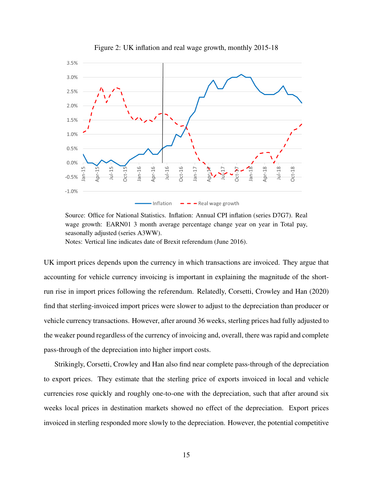

Figure 2: UK inflation and real wage growth, monthly 2015-18

Source: Office for National Statistics. Inflation: Annual CPI inflation (series D7G7). Real wage growth: EARN01 3 month average percentage change year on year in Total pay, seasonally adjusted (series A3WW).

Notes: Vertical line indicates date of Brexit referendum (June 2016).

UK import prices depends upon the currency in which transactions are invoiced. They argue that accounting for vehicle currency invoicing is important in explaining the magnitude of the shortrun rise in import prices following the referendum. Relatedly, Corsetti, Crowley and Han (2020) find that sterling-invoiced import prices were slower to adjust to the depreciation than producer or vehicle currency transactions. However, after around 36 weeks, sterling prices had fully adjusted to the weaker pound regardless of the currency of invoicing and, overall, there was rapid and complete pass-through of the depreciation into higher import costs.

Strikingly, Corsetti, Crowley and Han also find near complete pass-through of the depreciation to export prices. They estimate that the sterling price of exports invoiced in local and vehicle currencies rose quickly and roughly one-to-one with the depreciation, such that after around six weeks local prices in destination markets showed no effect of the depreciation. Export prices invoiced in sterling responded more slowly to the depreciation. However, the potential competitive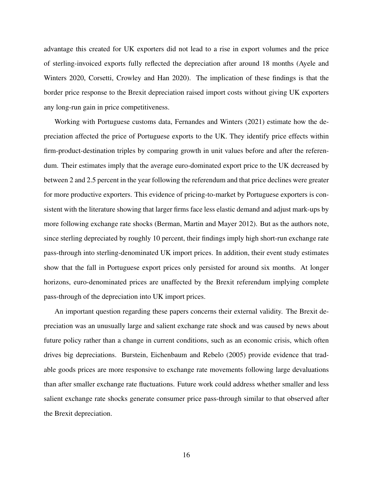advantage this created for UK exporters did not lead to a rise in export volumes and the price of sterling-invoiced exports fully reflected the depreciation after around 18 months (Ayele and Winters 2020, Corsetti, Crowley and Han 2020). The implication of these findings is that the border price response to the Brexit depreciation raised import costs without giving UK exporters any long-run gain in price competitiveness.

Working with Portuguese customs data, Fernandes and Winters (2021) estimate how the depreciation affected the price of Portuguese exports to the UK. They identify price effects within firm-product-destination triples by comparing growth in unit values before and after the referendum. Their estimates imply that the average euro-dominated export price to the UK decreased by between 2 and 2.5 percent in the year following the referendum and that price declines were greater for more productive exporters. This evidence of pricing-to-market by Portuguese exporters is consistent with the literature showing that larger firms face less elastic demand and adjust mark-ups by more following exchange rate shocks (Berman, Martin and Mayer 2012). But as the authors note, since sterling depreciated by roughly 10 percent, their findings imply high short-run exchange rate pass-through into sterling-denominated UK import prices. In addition, their event study estimates show that the fall in Portuguese export prices only persisted for around six months. At longer horizons, euro-denominated prices are unaffected by the Brexit referendum implying complete pass-through of the depreciation into UK import prices.

An important question regarding these papers concerns their external validity. The Brexit depreciation was an unusually large and salient exchange rate shock and was caused by news about future policy rather than a change in current conditions, such as an economic crisis, which often drives big depreciations. Burstein, Eichenbaum and Rebelo (2005) provide evidence that tradable goods prices are more responsive to exchange rate movements following large devaluations than after smaller exchange rate fluctuations. Future work could address whether smaller and less salient exchange rate shocks generate consumer price pass-through similar to that observed after the Brexit depreciation.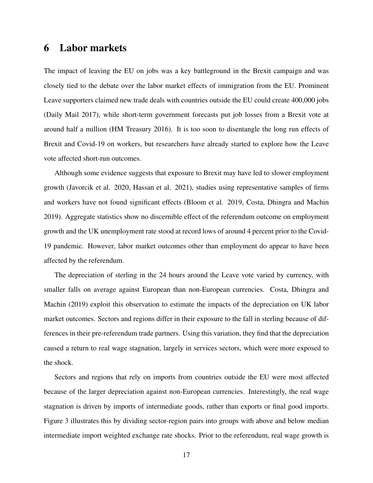### 6 Labor markets

The impact of leaving the EU on jobs was a key battleground in the Brexit campaign and was closely tied to the debate over the labor market effects of immigration from the EU. Prominent Leave supporters claimed new trade deals with countries outside the EU could create 400,000 jobs (Daily Mail 2017), while short-term government forecasts put job losses from a Brexit vote at around half a million (HM Treasury 2016). It is too soon to disentangle the long run effects of Brexit and Covid-19 on workers, but researchers have already started to explore how the Leave vote affected short-run outcomes.

Although some evidence suggests that exposure to Brexit may have led to slower employment growth (Javorcik et al. 2020, Hassan et al. 2021), studies using representative samples of firms and workers have not found significant effects (Bloom et al. 2019, Costa, Dhingra and Machin 2019). Aggregate statistics show no discernible effect of the referendum outcome on employment growth and the UK unemployment rate stood at record lows of around 4 percent prior to the Covid-19 pandemic. However, labor market outcomes other than employment do appear to have been affected by the referendum.

The depreciation of sterling in the 24 hours around the Leave vote varied by currency, with smaller falls on average against European than non-European currencies. Costa, Dhingra and Machin (2019) exploit this observation to estimate the impacts of the depreciation on UK labor market outcomes. Sectors and regions differ in their exposure to the fall in sterling because of differences in their pre-referendum trade partners. Using this variation, they find that the depreciation caused a return to real wage stagnation, largely in services sectors, which were more exposed to the shock.

Sectors and regions that rely on imports from countries outside the EU were most affected because of the larger depreciation against non-European currencies. Interestingly, the real wage stagnation is driven by imports of intermediate goods, rather than exports or final good imports. Figure 3 illustrates this by dividing sector-region pairs into groups with above and below median intermediate import weighted exchange rate shocks. Prior to the referendum, real wage growth is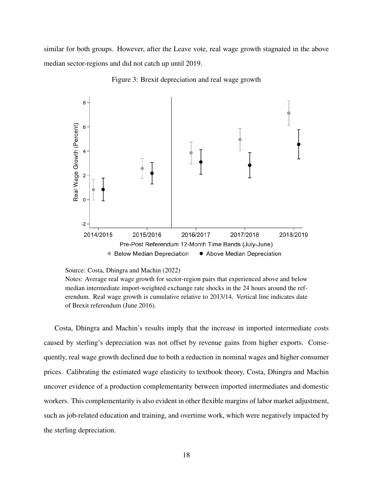similar for both groups. However, after the Leave vote, real wage growth stagnated in the above median sector-regions and did not catch up until 2019.



Figure 3: Brexit depreciation and real wage growth

Costa, Dhingra and Machin's results imply that the increase in imported intermediate costs caused by sterling's depreciation was not offset by revenue gains from higher exports. Consequently, real wage growth declined due to both a reduction in nominal wages and higher consumer prices. Calibrating the estimated wage elasticity to textbook theory, Costa, Dhingra and Machin uncover evidence of a production complementarity between imported intermediates and domestic workers. This complementarity is also evident in other flexible margins of labor market adjustment, such as job-related education and training, and overtime work, which were negatively impacted by the sterling depreciation.

Source: Costa, Dhingra and Machin (2022)

Notes: Average real wage growth for sector-region pairs that experienced above and below median intermediate import-weighted exchange rate shocks in the 24 hours around the referendum. Real wage growth is cumulative relative to 2013/14. Vertical line indicates date of Brexit referendum (June 2016).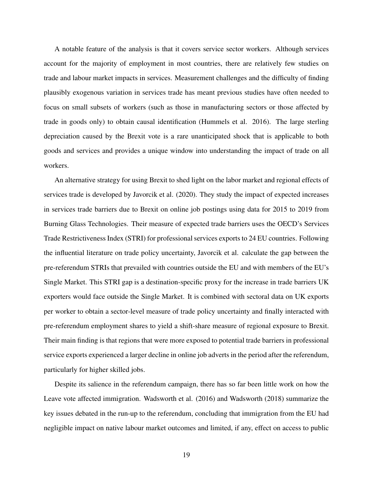A notable feature of the analysis is that it covers service sector workers. Although services account for the majority of employment in most countries, there are relatively few studies on trade and labour market impacts in services. Measurement challenges and the difficulty of finding plausibly exogenous variation in services trade has meant previous studies have often needed to focus on small subsets of workers (such as those in manufacturing sectors or those affected by trade in goods only) to obtain causal identification (Hummels et al. 2016). The large sterling depreciation caused by the Brexit vote is a rare unanticipated shock that is applicable to both goods and services and provides a unique window into understanding the impact of trade on all workers.

An alternative strategy for using Brexit to shed light on the labor market and regional effects of services trade is developed by Javorcik et al. (2020). They study the impact of expected increases in services trade barriers due to Brexit on online job postings using data for 2015 to 2019 from Burning Glass Technologies. Their measure of expected trade barriers uses the OECD's Services Trade Restrictiveness Index (STRI) for professional services exports to 24 EU countries. Following the influential literature on trade policy uncertainty, Javorcik et al. calculate the gap between the pre-referendum STRIs that prevailed with countries outside the EU and with members of the EU's Single Market. This STRI gap is a destination-specific proxy for the increase in trade barriers UK exporters would face outside the Single Market. It is combined with sectoral data on UK exports per worker to obtain a sector-level measure of trade policy uncertainty and finally interacted with pre-referendum employment shares to yield a shift-share measure of regional exposure to Brexit. Their main finding is that regions that were more exposed to potential trade barriers in professional service exports experienced a larger decline in online job adverts in the period after the referendum, particularly for higher skilled jobs.

Despite its salience in the referendum campaign, there has so far been little work on how the Leave vote affected immigration. Wadsworth et al. (2016) and Wadsworth (2018) summarize the key issues debated in the run-up to the referendum, concluding that immigration from the EU had negligible impact on native labour market outcomes and limited, if any, effect on access to public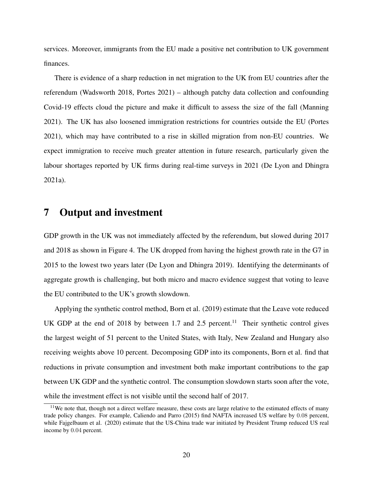services. Moreover, immigrants from the EU made a positive net contribution to UK government finances.

There is evidence of a sharp reduction in net migration to the UK from EU countries after the referendum (Wadsworth 2018, Portes 2021) – although patchy data collection and confounding Covid-19 effects cloud the picture and make it difficult to assess the size of the fall (Manning 2021). The UK has also loosened immigration restrictions for countries outside the EU (Portes 2021), which may have contributed to a rise in skilled migration from non-EU countries. We expect immigration to receive much greater attention in future research, particularly given the labour shortages reported by UK firms during real-time surveys in 2021 (De Lyon and Dhingra 2021a).

## 7 Output and investment

GDP growth in the UK was not immediately affected by the referendum, but slowed during 2017 and 2018 as shown in Figure 4. The UK dropped from having the highest growth rate in the G7 in 2015 to the lowest two years later (De Lyon and Dhingra 2019). Identifying the determinants of aggregate growth is challenging, but both micro and macro evidence suggest that voting to leave the EU contributed to the UK's growth slowdown.

Applying the synthetic control method, Born et al. (2019) estimate that the Leave vote reduced UK GDP at the end of 2018 by between 1.7 and 2.5 percent.<sup>11</sup> Their synthetic control gives the largest weight of 51 percent to the United States, with Italy, New Zealand and Hungary also receiving weights above 10 percent. Decomposing GDP into its components, Born et al. find that reductions in private consumption and investment both make important contributions to the gap between UK GDP and the synthetic control. The consumption slowdown starts soon after the vote, while the investment effect is not visible until the second half of 2017.

<sup>&</sup>lt;sup>11</sup>We note that, though not a direct welfare measure, these costs are large relative to the estimated effects of many trade policy changes. For example, Caliendo and Parro (2015) find NAFTA increased US welfare by 0.08 percent, while Fajgelbaum et al. (2020) estimate that the US-China trade war initiated by President Trump reduced US real income by 0.04 percent.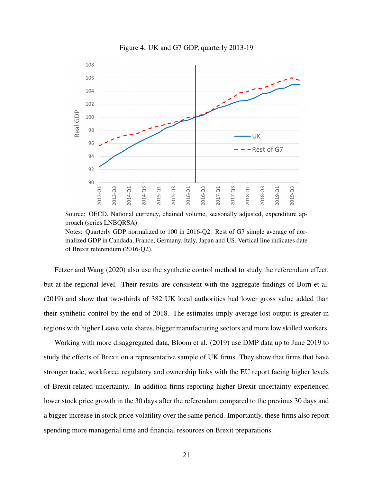

Figure 4: UK and G7 GDP, quarterly 2013-19

Source: OECD. National currency, chained volume, seasonally adjusted, expenditure approach (series LNBQRSA). Notes: Quarterly GDP normalized to 100 in 2016-Q2. Rest of G7 simple average of nor-

malized GDP in Candada, France, Germany, Italy, Japan and US. Vertical line indicates date of Brexit referendum (2016-Q2).

Fetzer and Wang (2020) also use the synthetic control method to study the referendum effect, but at the regional level. Their results are consistent with the aggregate findings of Born et al. (2019) and show that two-thirds of 382 UK local authorities had lower gross value added than their synthetic control by the end of 2018. The estimates imply average lost output is greater in regions with higher Leave vote shares, bigger manufacturing sectors and more low skilled workers.

Working with more disaggregated data, Bloom et al. (2019) use DMP data up to June 2019 to study the effects of Brexit on a representative sample of UK firms. They show that firms that have stronger trade, workforce, regulatory and ownership links with the EU report facing higher levels of Brexit-related uncertainty. In addition firms reporting higher Brexit uncertainty experienced lower stock price growth in the 30 days after the referendum compared to the previous 30 days and a bigger increase in stock price volatility over the same period. Importantly, these firms also report spending more managerial time and financial resources on Brexit preparations.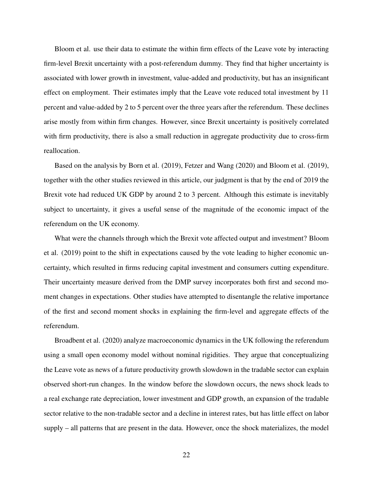Bloom et al. use their data to estimate the within firm effects of the Leave vote by interacting firm-level Brexit uncertainty with a post-referendum dummy. They find that higher uncertainty is associated with lower growth in investment, value-added and productivity, but has an insignificant effect on employment. Their estimates imply that the Leave vote reduced total investment by 11 percent and value-added by 2 to 5 percent over the three years after the referendum. These declines arise mostly from within firm changes. However, since Brexit uncertainty is positively correlated with firm productivity, there is also a small reduction in aggregate productivity due to cross-firm reallocation.

Based on the analysis by Born et al. (2019), Fetzer and Wang (2020) and Bloom et al. (2019), together with the other studies reviewed in this article, our judgment is that by the end of 2019 the Brexit vote had reduced UK GDP by around 2 to 3 percent. Although this estimate is inevitably subject to uncertainty, it gives a useful sense of the magnitude of the economic impact of the referendum on the UK economy.

What were the channels through which the Brexit vote affected output and investment? Bloom et al. (2019) point to the shift in expectations caused by the vote leading to higher economic uncertainty, which resulted in firms reducing capital investment and consumers cutting expenditure. Their uncertainty measure derived from the DMP survey incorporates both first and second moment changes in expectations. Other studies have attempted to disentangle the relative importance of the first and second moment shocks in explaining the firm-level and aggregate effects of the referendum.

Broadbent et al. (2020) analyze macroeconomic dynamics in the UK following the referendum using a small open economy model without nominal rigidities. They argue that conceptualizing the Leave vote as news of a future productivity growth slowdown in the tradable sector can explain observed short-run changes. In the window before the slowdown occurs, the news shock leads to a real exchange rate depreciation, lower investment and GDP growth, an expansion of the tradable sector relative to the non-tradable sector and a decline in interest rates, but has little effect on labor supply – all patterns that are present in the data. However, once the shock materializes, the model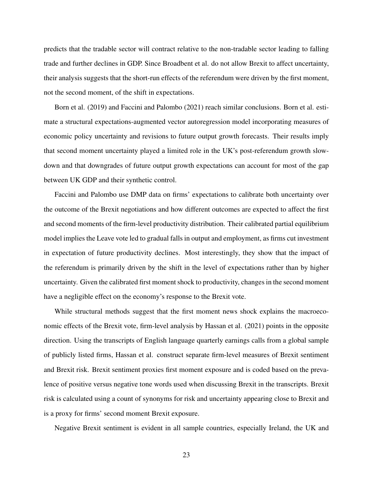predicts that the tradable sector will contract relative to the non-tradable sector leading to falling trade and further declines in GDP. Since Broadbent et al. do not allow Brexit to affect uncertainty, their analysis suggests that the short-run effects of the referendum were driven by the first moment, not the second moment, of the shift in expectations.

Born et al. (2019) and Faccini and Palombo (2021) reach similar conclusions. Born et al. estimate a structural expectations-augmented vector autoregression model incorporating measures of economic policy uncertainty and revisions to future output growth forecasts. Their results imply that second moment uncertainty played a limited role in the UK's post-referendum growth slowdown and that downgrades of future output growth expectations can account for most of the gap between UK GDP and their synthetic control.

Faccini and Palombo use DMP data on firms' expectations to calibrate both uncertainty over the outcome of the Brexit negotiations and how different outcomes are expected to affect the first and second moments of the firm-level productivity distribution. Their calibrated partial equilibrium model implies the Leave vote led to gradual falls in output and employment, as firms cut investment in expectation of future productivity declines. Most interestingly, they show that the impact of the referendum is primarily driven by the shift in the level of expectations rather than by higher uncertainty. Given the calibrated first moment shock to productivity, changes in the second moment have a negligible effect on the economy's response to the Brexit vote.

While structural methods suggest that the first moment news shock explains the macroeconomic effects of the Brexit vote, firm-level analysis by Hassan et al. (2021) points in the opposite direction. Using the transcripts of English language quarterly earnings calls from a global sample of publicly listed firms, Hassan et al. construct separate firm-level measures of Brexit sentiment and Brexit risk. Brexit sentiment proxies first moment exposure and is coded based on the prevalence of positive versus negative tone words used when discussing Brexit in the transcripts. Brexit risk is calculated using a count of synonyms for risk and uncertainty appearing close to Brexit and is a proxy for firms' second moment Brexit exposure.

Negative Brexit sentiment is evident in all sample countries, especially Ireland, the UK and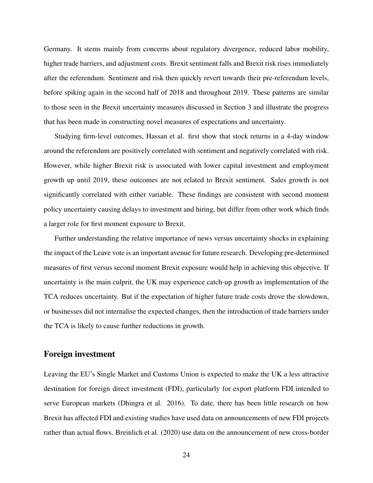Germany. It stems mainly from concerns about regulatory divergence, reduced labor mobility, higher trade barriers, and adjustment costs. Brexit sentiment falls and Brexit risk rises immediately after the referendum. Sentiment and risk then quickly revert towards their pre-referendum levels, before spiking again in the second half of 2018 and throughout 2019. These patterns are similar to those seen in the Brexit uncertainty measures discussed in Section 3 and illustrate the progress that has been made in constructing novel measures of expectations and uncertainty.

Studying firm-level outcomes, Hassan et al. first show that stock returns in a 4-day window around the referendum are positively correlated with sentiment and negatively correlated with risk. However, while higher Brexit risk is associated with lower capital investment and employment growth up until 2019, these outcomes are not related to Brexit sentiment. Sales growth is not significantly correlated with either variable. These findings are consistent with second moment policy uncertainty causing delays to investment and hiring, but differ from other work which finds a larger role for first moment exposure to Brexit.

Further understanding the relative importance of news versus uncertainty shocks in explaining the impact of the Leave vote is an important avenue for future research. Developing pre-determined measures of first versus second moment Brexit exposure would help in achieving this objective. If uncertainty is the main culprit, the UK may experience catch-up growth as implementation of the TCA reduces uncertainty. But if the expectation of higher future trade costs drove the slowdown, or businesses did not internalise the expected changes, then the introduction of trade barriers under the TCA is likely to cause further reductions in growth.

#### Foreign investment

Leaving the EU's Single Market and Customs Union is expected to make the UK a less attractive destination for foreign direct investment (FDI), particularly for export platform FDI intended to serve European markets (Dhingra et al. 2016). To date, there has been little research on how Brexit has affected FDI and existing studies have used data on announcements of new FDI projects rather than actual flows. Breinlich et al. (2020) use data on the announcement of new cross-border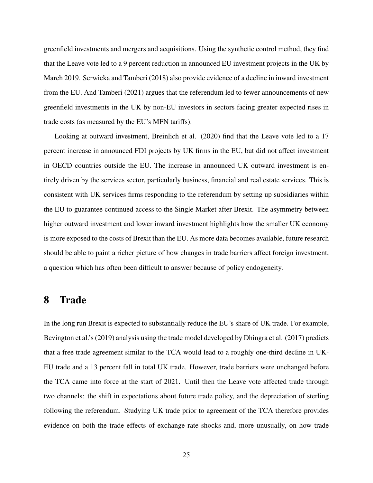greenfield investments and mergers and acquisitions. Using the synthetic control method, they find that the Leave vote led to a 9 percent reduction in announced EU investment projects in the UK by March 2019. Serwicka and Tamberi (2018) also provide evidence of a decline in inward investment from the EU. And Tamberi (2021) argues that the referendum led to fewer announcements of new greenfield investments in the UK by non-EU investors in sectors facing greater expected rises in trade costs (as measured by the EU's MFN tariffs).

Looking at outward investment, Breinlich et al. (2020) find that the Leave vote led to a 17 percent increase in announced FDI projects by UK firms in the EU, but did not affect investment in OECD countries outside the EU. The increase in announced UK outward investment is entirely driven by the services sector, particularly business, financial and real estate services. This is consistent with UK services firms responding to the referendum by setting up subsidiaries within the EU to guarantee continued access to the Single Market after Brexit. The asymmetry between higher outward investment and lower inward investment highlights how the smaller UK economy is more exposed to the costs of Brexit than the EU. As more data becomes available, future research should be able to paint a richer picture of how changes in trade barriers affect foreign investment, a question which has often been difficult to answer because of policy endogeneity.

## 8 Trade

In the long run Brexit is expected to substantially reduce the EU's share of UK trade. For example, Bevington et al.'s (2019) analysis using the trade model developed by Dhingra et al. (2017) predicts that a free trade agreement similar to the TCA would lead to a roughly one-third decline in UK-EU trade and a 13 percent fall in total UK trade. However, trade barriers were unchanged before the TCA came into force at the start of 2021. Until then the Leave vote affected trade through two channels: the shift in expectations about future trade policy, and the depreciation of sterling following the referendum. Studying UK trade prior to agreement of the TCA therefore provides evidence on both the trade effects of exchange rate shocks and, more unusually, on how trade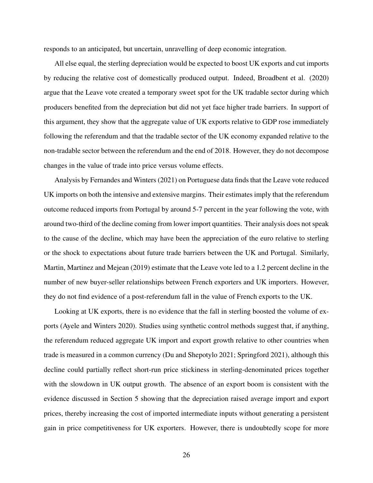responds to an anticipated, but uncertain, unravelling of deep economic integration.

All else equal, the sterling depreciation would be expected to boost UK exports and cut imports by reducing the relative cost of domestically produced output. Indeed, Broadbent et al. (2020) argue that the Leave vote created a temporary sweet spot for the UK tradable sector during which producers benefited from the depreciation but did not yet face higher trade barriers. In support of this argument, they show that the aggregate value of UK exports relative to GDP rose immediately following the referendum and that the tradable sector of the UK economy expanded relative to the non-tradable sector between the referendum and the end of 2018. However, they do not decompose changes in the value of trade into price versus volume effects.

Analysis by Fernandes and Winters (2021) on Portuguese data finds that the Leave vote reduced UK imports on both the intensive and extensive margins. Their estimates imply that the referendum outcome reduced imports from Portugal by around 5-7 percent in the year following the vote, with around two-third of the decline coming from lower import quantities. Their analysis does not speak to the cause of the decline, which may have been the appreciation of the euro relative to sterling or the shock to expectations about future trade barriers between the UK and Portugal. Similarly, Martin, Martinez and Mejean (2019) estimate that the Leave vote led to a 1.2 percent decline in the number of new buyer-seller relationships between French exporters and UK importers. However, they do not find evidence of a post-referendum fall in the value of French exports to the UK.

Looking at UK exports, there is no evidence that the fall in sterling boosted the volume of exports (Ayele and Winters 2020). Studies using synthetic control methods suggest that, if anything, the referendum reduced aggregate UK import and export growth relative to other countries when trade is measured in a common currency (Du and Shepotylo 2021; Springford 2021), although this decline could partially reflect short-run price stickiness in sterling-denominated prices together with the slowdown in UK output growth. The absence of an export boom is consistent with the evidence discussed in Section 5 showing that the depreciation raised average import and export prices, thereby increasing the cost of imported intermediate inputs without generating a persistent gain in price competitiveness for UK exporters. However, there is undoubtedly scope for more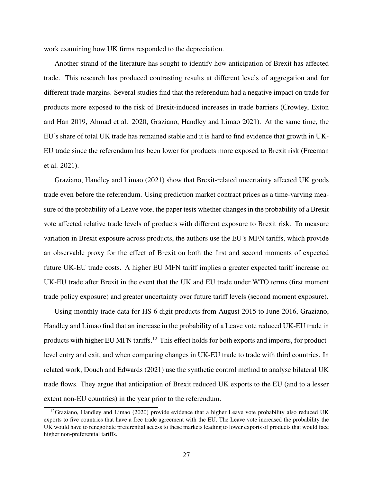work examining how UK firms responded to the depreciation.

Another strand of the literature has sought to identify how anticipation of Brexit has affected trade. This research has produced contrasting results at different levels of aggregation and for different trade margins. Several studies find that the referendum had a negative impact on trade for products more exposed to the risk of Brexit-induced increases in trade barriers (Crowley, Exton and Han 2019, Ahmad et al. 2020, Graziano, Handley and Limao 2021). At the same time, the EU's share of total UK trade has remained stable and it is hard to find evidence that growth in UK-EU trade since the referendum has been lower for products more exposed to Brexit risk (Freeman et al. 2021).

Graziano, Handley and Limao (2021) show that Brexit-related uncertainty affected UK goods trade even before the referendum. Using prediction market contract prices as a time-varying measure of the probability of a Leave vote, the paper tests whether changes in the probability of a Brexit vote affected relative trade levels of products with different exposure to Brexit risk. To measure variation in Brexit exposure across products, the authors use the EU's MFN tariffs, which provide an observable proxy for the effect of Brexit on both the first and second moments of expected future UK-EU trade costs. A higher EU MFN tariff implies a greater expected tariff increase on UK-EU trade after Brexit in the event that the UK and EU trade under WTO terms (first moment trade policy exposure) and greater uncertainty over future tariff levels (second moment exposure).

Using monthly trade data for HS 6 digit products from August 2015 to June 2016, Graziano, Handley and Limao find that an increase in the probability of a Leave vote reduced UK-EU trade in products with higher EU MFN tariffs.<sup>12</sup> This effect holds for both exports and imports, for productlevel entry and exit, and when comparing changes in UK-EU trade to trade with third countries. In related work, Douch and Edwards (2021) use the synthetic control method to analyse bilateral UK trade flows. They argue that anticipation of Brexit reduced UK exports to the EU (and to a lesser extent non-EU countries) in the year prior to the referendum.

 $12$ Graziano, Handley and Limao (2020) provide evidence that a higher Leave vote probability also reduced UK exports to five countries that have a free trade agreement with the EU. The Leave vote increased the probability the UK would have to renegotiate preferential access to these markets leading to lower exports of products that would face higher non-preferential tariffs.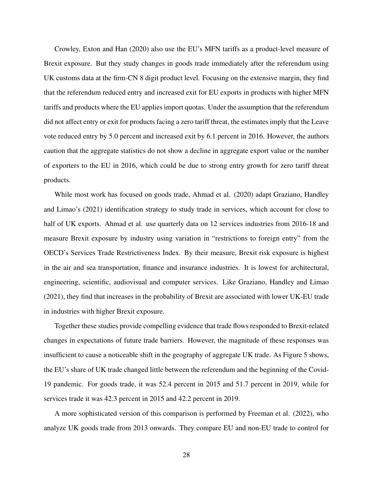Crowley, Exton and Han (2020) also use the EU's MFN tariffs as a product-level measure of Brexit exposure. But they study changes in goods trade immediately after the referendum using UK customs data at the firm-CN 8 digit product level. Focusing on the extensive margin, they find that the referendum reduced entry and increased exit for EU exports in products with higher MFN tariffs and products where the EU applies import quotas. Under the assumption that the referendum did not affect entry or exit for products facing a zero tariff threat, the estimates imply that the Leave vote reduced entry by 5.0 percent and increased exit by 6.1 percent in 2016. However, the authors caution that the aggregate statistics do not show a decline in aggregate export value or the number of exporters to the EU in 2016, which could be due to strong entry growth for zero tariff threat products.

While most work has focused on goods trade, Ahmad et al. (2020) adapt Graziano, Handley and Limao's (2021) identification strategy to study trade in services, which account for close to half of UK exports. Ahmad et al. use quarterly data on 12 services industries from 2016-18 and measure Brexit exposure by industry using variation in "restrictions to foreign entry" from the OECD's Services Trade Restrictiveness Index. By their measure, Brexit risk exposure is highest in the air and sea transportation, finance and insurance industries. It is lowest for architectural, engineering, scientific, audiovisual and computer services. Like Graziano, Handley and Limao (2021), they find that increases in the probability of Brexit are associated with lower UK-EU trade in industries with higher Brexit exposure.

Together these studies provide compelling evidence that trade flows responded to Brexit-related changes in expectations of future trade barriers. However, the magnitude of these responses was insufficient to cause a noticeable shift in the geography of aggregate UK trade. As Figure 5 shows, the EU's share of UK trade changed little between the referendum and the beginning of the Covid-19 pandemic. For goods trade, it was 52.4 percent in 2015 and 51.7 percent in 2019, while for services trade it was 42.3 percent in 2015 and 42.2 percent in 2019.

A more sophisticated version of this comparison is performed by Freeman et al. (2022), who analyze UK goods trade from 2013 onwards. They compare EU and non-EU trade to control for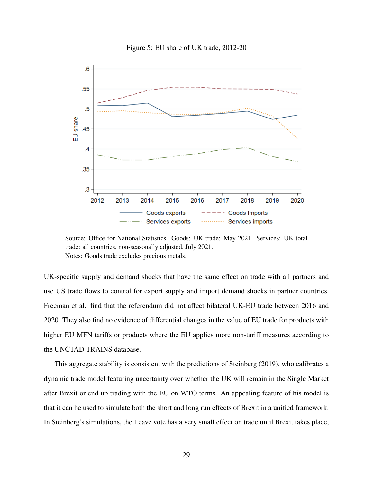

Figure 5: EU share of UK trade, 2012-20

Source: Office for National Statistics. Goods: UK trade: May 2021. Services: UK total trade: all countries, non-seasonally adjusted, July 2021. Notes: Goods trade excludes precious metals.

UK-specific supply and demand shocks that have the same effect on trade with all partners and use US trade flows to control for export supply and import demand shocks in partner countries. Freeman et al. find that the referendum did not affect bilateral UK-EU trade between 2016 and 2020. They also find no evidence of differential changes in the value of EU trade for products with higher EU MFN tariffs or products where the EU applies more non-tariff measures according to the UNCTAD TRAINS database.

This aggregate stability is consistent with the predictions of Steinberg (2019), who calibrates a dynamic trade model featuring uncertainty over whether the UK will remain in the Single Market after Brexit or end up trading with the EU on WTO terms. An appealing feature of his model is that it can be used to simulate both the short and long run effects of Brexit in a unified framework. In Steinberg's simulations, the Leave vote has a very small effect on trade until Brexit takes place,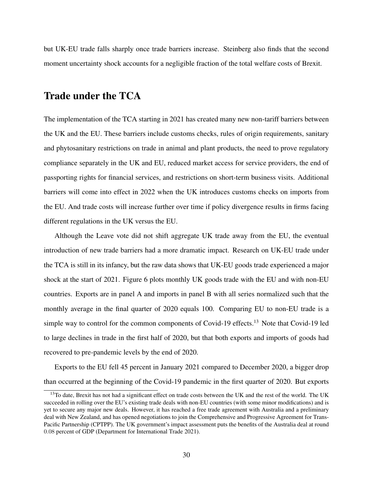but UK-EU trade falls sharply once trade barriers increase. Steinberg also finds that the second moment uncertainty shock accounts for a negligible fraction of the total welfare costs of Brexit.

### Trade under the TCA

The implementation of the TCA starting in 2021 has created many new non-tariff barriers between the UK and the EU. These barriers include customs checks, rules of origin requirements, sanitary and phytosanitary restrictions on trade in animal and plant products, the need to prove regulatory compliance separately in the UK and EU, reduced market access for service providers, the end of passporting rights for financial services, and restrictions on short-term business visits. Additional barriers will come into effect in 2022 when the UK introduces customs checks on imports from the EU. And trade costs will increase further over time if policy divergence results in firms facing different regulations in the UK versus the EU.

Although the Leave vote did not shift aggregate UK trade away from the EU, the eventual introduction of new trade barriers had a more dramatic impact. Research on UK-EU trade under the TCA is still in its infancy, but the raw data shows that UK-EU goods trade experienced a major shock at the start of 2021. Figure 6 plots monthly UK goods trade with the EU and with non-EU countries. Exports are in panel A and imports in panel B with all series normalized such that the monthly average in the final quarter of 2020 equals 100. Comparing EU to non-EU trade is a simple way to control for the common components of Covid-19 effects.<sup>13</sup> Note that Covid-19 led to large declines in trade in the first half of 2020, but that both exports and imports of goods had recovered to pre-pandemic levels by the end of 2020.

Exports to the EU fell 45 percent in January 2021 compared to December 2020, a bigger drop than occurred at the beginning of the Covid-19 pandemic in the first quarter of 2020. But exports

<sup>&</sup>lt;sup>13</sup>To date, Brexit has not had a significant effect on trade costs between the UK and the rest of the world. The UK succeeded in rolling over the EU's existing trade deals with non-EU countries (with some minor modifications) and is yet to secure any major new deals. However, it has reached a free trade agreement with Australia and a preliminary deal with New Zealand, and has opened negotiations to join the Comprehensive and Progressive Agreement for Trans-Pacific Partnership (CPTPP). The UK government's impact assessment puts the benefits of the Australia deal at round 0.08 percent of GDP (Department for International Trade 2021).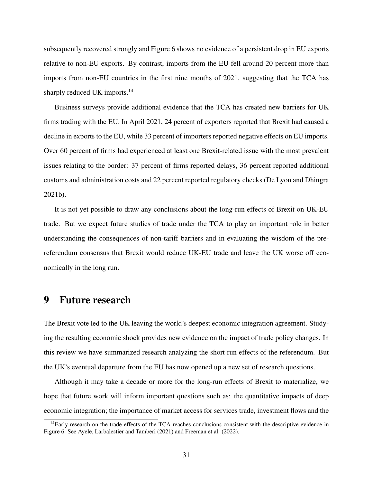subsequently recovered strongly and Figure 6 shows no evidence of a persistent drop in EU exports relative to non-EU exports. By contrast, imports from the EU fell around 20 percent more than imports from non-EU countries in the first nine months of 2021, suggesting that the TCA has sharply reduced UK imports.<sup>14</sup>

Business surveys provide additional evidence that the TCA has created new barriers for UK firms trading with the EU. In April 2021, 24 percent of exporters reported that Brexit had caused a decline in exports to the EU, while 33 percent of importers reported negative effects on EU imports. Over 60 percent of firms had experienced at least one Brexit-related issue with the most prevalent issues relating to the border: 37 percent of firms reported delays, 36 percent reported additional customs and administration costs and 22 percent reported regulatory checks (De Lyon and Dhingra 2021b).

It is not yet possible to draw any conclusions about the long-run effects of Brexit on UK-EU trade. But we expect future studies of trade under the TCA to play an important role in better understanding the consequences of non-tariff barriers and in evaluating the wisdom of the prereferendum consensus that Brexit would reduce UK-EU trade and leave the UK worse off economically in the long run.

## 9 Future research

The Brexit vote led to the UK leaving the world's deepest economic integration agreement. Studying the resulting economic shock provides new evidence on the impact of trade policy changes. In this review we have summarized research analyzing the short run effects of the referendum. But the UK's eventual departure from the EU has now opened up a new set of research questions.

Although it may take a decade or more for the long-run effects of Brexit to materialize, we hope that future work will inform important questions such as: the quantitative impacts of deep economic integration; the importance of market access for services trade, investment flows and the

<sup>&</sup>lt;sup>14</sup>Early research on the trade effects of the TCA reaches conclusions consistent with the descriptive evidence in Figure 6. See Ayele, Larbalestier and Tamberi (2021) and Freeman et al. (2022).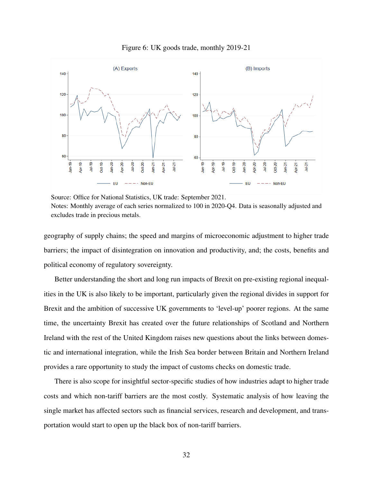



Source: Office for National Statistics, UK trade: September 2021. Notes: Monthly average of each series normalized to 100 in 2020-Q4. Data is seasonally adjusted and excludes trade in precious metals.

geography of supply chains; the speed and margins of microeconomic adjustment to higher trade barriers; the impact of disintegration on innovation and productivity, and; the costs, benefits and political economy of regulatory sovereignty.

Better understanding the short and long run impacts of Brexit on pre-existing regional inequalities in the UK is also likely to be important, particularly given the regional divides in support for Brexit and the ambition of successive UK governments to 'level-up' poorer regions. At the same time, the uncertainty Brexit has created over the future relationships of Scotland and Northern Ireland with the rest of the United Kingdom raises new questions about the links between domestic and international integration, while the Irish Sea border between Britain and Northern Ireland provides a rare opportunity to study the impact of customs checks on domestic trade.

There is also scope for insightful sector-specific studies of how industries adapt to higher trade costs and which non-tariff barriers are the most costly. Systematic analysis of how leaving the single market has affected sectors such as financial services, research and development, and transportation would start to open up the black box of non-tariff barriers.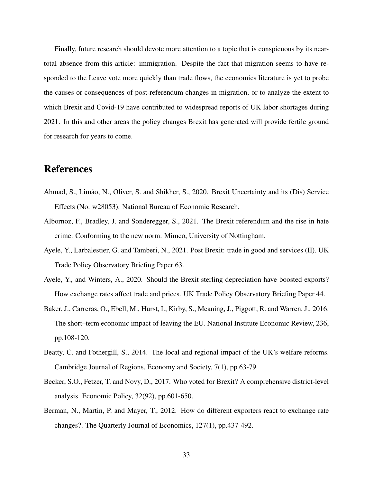Finally, future research should devote more attention to a topic that is conspicuous by its neartotal absence from this article: immigration. Despite the fact that migration seems to have responded to the Leave vote more quickly than trade flows, the economics literature is yet to probe the causes or consequences of post-referendum changes in migration, or to analyze the extent to which Brexit and Covid-19 have contributed to widespread reports of UK labor shortages during 2021. In this and other areas the policy changes Brexit has generated will provide fertile ground for research for years to come.

## References

- Ahmad, S., Limão, N., Oliver, S. and Shikher, S., 2020. Brexit Uncertainty and its (Dis) Service Effects (No. w28053). National Bureau of Economic Research.
- Albornoz, F., Bradley, J. and Sonderegger, S., 2021. The Brexit referendum and the rise in hate crime: Conforming to the new norm. Mimeo, University of Nottingham.
- Ayele, Y., Larbalestier, G. and Tamberi, N., 2021. Post Brexit: trade in good and services (II). UK Trade Policy Observatory Briefing Paper 63.
- Ayele, Y., and Winters, A., 2020. Should the Brexit sterling depreciation have boosted exports? How exchange rates affect trade and prices. UK Trade Policy Observatory Briefing Paper 44.
- Baker, J., Carreras, O., Ebell, M., Hurst, I., Kirby, S., Meaning, J., Piggott, R. and Warren, J., 2016. The short–term economic impact of leaving the EU. National Institute Economic Review, 236, pp.108-120.
- Beatty, C. and Fothergill, S., 2014. The local and regional impact of the UK's welfare reforms. Cambridge Journal of Regions, Economy and Society, 7(1), pp.63-79.
- Becker, S.O., Fetzer, T. and Novy, D., 2017. Who voted for Brexit? A comprehensive district-level analysis. Economic Policy, 32(92), pp.601-650.
- Berman, N., Martin, P. and Mayer, T., 2012. How do different exporters react to exchange rate changes?. The Quarterly Journal of Economics, 127(1), pp.437-492.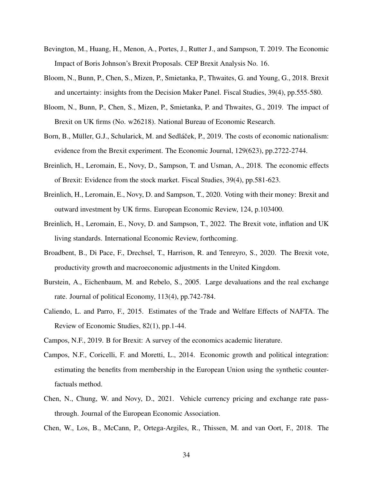- Bevington, M., Huang, H., Menon, A., Portes, J., Rutter J., and Sampson, T. 2019. The Economic Impact of Boris Johnson's Brexit Proposals. CEP Brexit Analysis No. 16.
- Bloom, N., Bunn, P., Chen, S., Mizen, P., Smietanka, P., Thwaites, G. and Young, G., 2018. Brexit and uncertainty: insights from the Decision Maker Panel. Fiscal Studies, 39(4), pp.555-580.
- Bloom, N., Bunn, P., Chen, S., Mizen, P., Smietanka, P. and Thwaites, G., 2019. The impact of Brexit on UK firms (No. w26218). National Bureau of Economic Research.
- Born, B., Müller, G.J., Schularick, M. and Sedláček, P., 2019. The costs of economic nationalism: evidence from the Brexit experiment. The Economic Journal, 129(623), pp.2722-2744.
- Breinlich, H., Leromain, E., Novy, D., Sampson, T. and Usman, A., 2018. The economic effects of Brexit: Evidence from the stock market. Fiscal Studies, 39(4), pp.581-623.
- Breinlich, H., Leromain, E., Novy, D. and Sampson, T., 2020. Voting with their money: Brexit and outward investment by UK firms. European Economic Review, 124, p.103400.
- Breinlich, H., Leromain, E., Novy, D. and Sampson, T., 2022. The Brexit vote, inflation and UK living standards. International Economic Review, forthcoming.
- Broadbent, B., Di Pace, F., Drechsel, T., Harrison, R. and Tenreyro, S., 2020. The Brexit vote, productivity growth and macroeconomic adjustments in the United Kingdom.
- Burstein, A., Eichenbaum, M. and Rebelo, S., 2005. Large devaluations and the real exchange rate. Journal of political Economy, 113(4), pp.742-784.
- Caliendo, L. and Parro, F., 2015. Estimates of the Trade and Welfare Effects of NAFTA. The Review of Economic Studies, 82(1), pp.1-44.
- Campos, N.F., 2019. B for Brexit: A survey of the economics academic literature.
- Campos, N.F., Coricelli, F. and Moretti, L., 2014. Economic growth and political integration: estimating the benefits from membership in the European Union using the synthetic counterfactuals method.
- Chen, N., Chung, W. and Novy, D., 2021. Vehicle currency pricing and exchange rate passthrough. Journal of the European Economic Association.
- Chen, W., Los, B., McCann, P., Ortega-Argiles, R., Thissen, M. and van Oort, F., 2018. The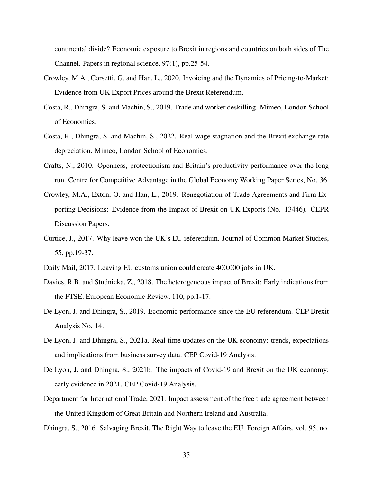continental divide? Economic exposure to Brexit in regions and countries on both sides of The Channel. Papers in regional science, 97(1), pp.25-54.

- Crowley, M.A., Corsetti, G. and Han, L., 2020. Invoicing and the Dynamics of Pricing-to-Market: Evidence from UK Export Prices around the Brexit Referendum.
- Costa, R., Dhingra, S. and Machin, S., 2019. Trade and worker deskilling. Mimeo, London School of Economics.
- Costa, R., Dhingra, S. and Machin, S., 2022. Real wage stagnation and the Brexit exchange rate depreciation. Mimeo, London School of Economics.
- Crafts, N., 2010. Openness, protectionism and Britain's productivity performance over the long run. Centre for Competitive Advantage in the Global Economy Working Paper Series, No. 36.
- Crowley, M.A., Exton, O. and Han, L., 2019. Renegotiation of Trade Agreements and Firm Exporting Decisions: Evidence from the Impact of Brexit on UK Exports (No. 13446). CEPR Discussion Papers.
- Curtice, J., 2017. Why leave won the UK's EU referendum. Journal of Common Market Studies, 55, pp.19-37.
- Daily Mail, 2017. Leaving EU customs union could create 400,000 jobs in UK.
- Davies, R.B. and Studnicka, Z., 2018. The heterogeneous impact of Brexit: Early indications from the FTSE. European Economic Review, 110, pp.1-17.
- De Lyon, J. and Dhingra, S., 2019. Economic performance since the EU referendum. CEP Brexit Analysis No. 14.
- De Lyon, J. and Dhingra, S., 2021a. Real-time updates on the UK economy: trends, expectations and implications from business survey data. CEP Covid-19 Analysis.
- De Lyon, J. and Dhingra, S., 2021b. The impacts of Covid-19 and Brexit on the UK economy: early evidence in 2021. CEP Covid-19 Analysis.
- Department for International Trade, 2021. Impact assessment of the free trade agreement between the United Kingdom of Great Britain and Northern Ireland and Australia.
- Dhingra, S., 2016. Salvaging Brexit, The Right Way to leave the EU. Foreign Affairs, vol. 95, no.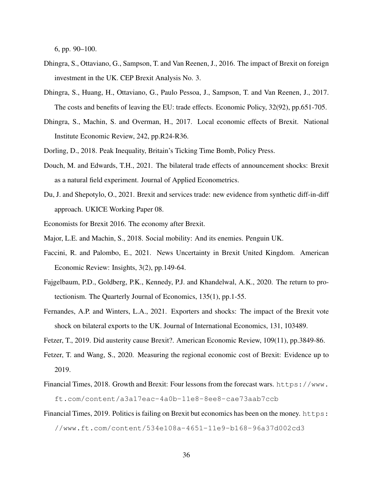6, pp. 90–100.

- Dhingra, S., Ottaviano, G., Sampson, T. and Van Reenen, J., 2016. The impact of Brexit on foreign investment in the UK. CEP Brexit Analysis No. 3.
- Dhingra, S., Huang, H., Ottaviano, G., Paulo Pessoa, J., Sampson, T. and Van Reenen, J., 2017. The costs and benefits of leaving the EU: trade effects. Economic Policy, 32(92), pp.651-705.
- Dhingra, S., Machin, S. and Overman, H., 2017. Local economic effects of Brexit. National Institute Economic Review, 242, pp.R24-R36.
- Dorling, D., 2018. Peak Inequality, Britain's Ticking Time Bomb, Policy Press.
- Douch, M. and Edwards, T.H., 2021. The bilateral trade effects of announcement shocks: Brexit as a natural field experiment. Journal of Applied Econometrics.
- Du, J. and Shepotylo, O., 2021. Brexit and services trade: new evidence from synthetic diff-in-diff approach. UKICE Working Paper 08.
- Economists for Brexit 2016. The economy after Brexit.
- Major, L.E. and Machin, S., 2018. Social mobility: And its enemies. Penguin UK.
- Faccini, R. and Palombo, E., 2021. News Uncertainty in Brexit United Kingdom. American Economic Review: Insights, 3(2), pp.149-64.
- Fajgelbaum, P.D., Goldberg, P.K., Kennedy, P.J. and Khandelwal, A.K., 2020. The return to protectionism. The Quarterly Journal of Economics, 135(1), pp.1-55.
- Fernandes, A.P. and Winters, L.A., 2021. Exporters and shocks: The impact of the Brexit vote shock on bilateral exports to the UK. Journal of International Economics, 131, 103489.
- Fetzer, T., 2019. Did austerity cause Brexit?. American Economic Review, 109(11), pp.3849-86.
- Fetzer, T. and Wang, S., 2020. Measuring the regional economic cost of Brexit: Evidence up to 2019.
- Financial Times, 2018. Growth and Brexit: Four lessons from the forecast wars. https://www. ft.com/content/a3a17eac-4a0b-11e8-8ee8-cae73aab7ccb
- Financial Times, 2019. Politics is failing on Brexit but economics has been on the money. https: //www.ft.com/content/534e108a-4651-11e9-b168-96a37d002cd3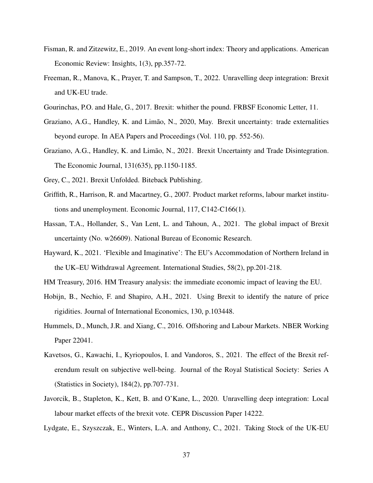- Fisman, R. and Zitzewitz, E., 2019. An event long-short index: Theory and applications. American Economic Review: Insights, 1(3), pp.357-72.
- Freeman, R., Manova, K., Prayer, T. and Sampson, T., 2022. Unravelling deep integration: Brexit and UK-EU trade.
- Gourinchas, P.O. and Hale, G., 2017. Brexit: whither the pound. FRBSF Economic Letter, 11.
- Graziano, A.G., Handley, K. and Limão, N., 2020, May. Brexit uncertainty: trade externalities beyond europe. In AEA Papers and Proceedings (Vol. 110, pp. 552-56).
- Graziano, A.G., Handley, K. and Limão, N., 2021. Brexit Uncertainty and Trade Disintegration. The Economic Journal, 131(635), pp.1150-1185.
- Grey, C., 2021. Brexit Unfolded. Biteback Publishing.
- Griffith, R., Harrison, R. and Macartney, G., 2007. Product market reforms, labour market institutions and unemployment. Economic Journal, 117, C142-C166(1).
- Hassan, T.A., Hollander, S., Van Lent, L. and Tahoun, A., 2021. The global impact of Brexit uncertainty (No. w26609). National Bureau of Economic Research.
- Hayward, K., 2021. 'Flexible and Imaginative': The EU's Accommodation of Northern Ireland in the UK–EU Withdrawal Agreement. International Studies, 58(2), pp.201-218.
- HM Treasury, 2016. HM Treasury analysis: the immediate economic impact of leaving the EU.
- Hobijn, B., Nechio, F. and Shapiro, A.H., 2021. Using Brexit to identify the nature of price rigidities. Journal of International Economics, 130, p.103448.
- Hummels, D., Munch, J.R. and Xiang, C., 2016. Offshoring and Labour Markets. NBER Working Paper 22041.
- Kavetsos, G., Kawachi, I., Kyriopoulos, I. and Vandoros, S., 2021. The effect of the Brexit referendum result on subjective well-being. Journal of the Royal Statistical Society: Series A (Statistics in Society), 184(2), pp.707-731.
- Javorcik, B., Stapleton, K., Kett, B. and O'Kane, L., 2020. Unravelling deep integration: Local labour market effects of the brexit vote. CEPR Discussion Paper 14222.
- Lydgate, E., Szyszczak, E., Winters, L.A. and Anthony, C., 2021. Taking Stock of the UK-EU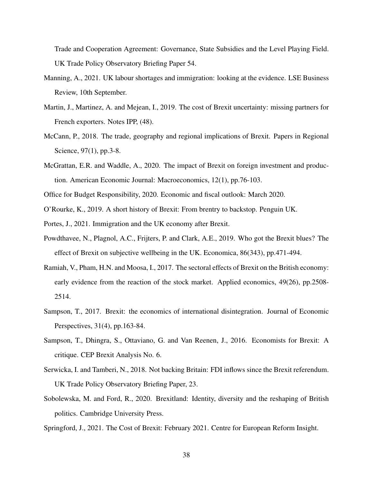Trade and Cooperation Agreement: Governance, State Subsidies and the Level Playing Field. UK Trade Policy Observatory Briefing Paper 54.

- Manning, A., 2021. UK labour shortages and immigration: looking at the evidence. LSE Business Review, 10th September.
- Martin, J., Martinez, A. and Mejean, I., 2019. The cost of Brexit uncertainty: missing partners for French exporters. Notes IPP, (48).
- McCann, P., 2018. The trade, geography and regional implications of Brexit. Papers in Regional Science, 97(1), pp.3-8.
- McGrattan, E.R. and Waddle, A., 2020. The impact of Brexit on foreign investment and production. American Economic Journal: Macroeconomics, 12(1), pp.76-103.

Office for Budget Responsibility, 2020. Economic and fiscal outlook: March 2020.

O'Rourke, K., 2019. A short history of Brexit: From brentry to backstop. Penguin UK.

Portes, J., 2021. Immigration and the UK economy after Brexit.

- Powdthavee, N., Plagnol, A.C., Frijters, P. and Clark, A.E., 2019. Who got the Brexit blues? The effect of Brexit on subjective wellbeing in the UK. Economica, 86(343), pp.471-494.
- Ramiah, V., Pham, H.N. and Moosa, I., 2017. The sectoral effects of Brexit on the British economy: early evidence from the reaction of the stock market. Applied economics, 49(26), pp.2508- 2514.
- Sampson, T., 2017. Brexit: the economics of international disintegration. Journal of Economic Perspectives, 31(4), pp.163-84.
- Sampson, T., Dhingra, S., Ottaviano, G. and Van Reenen, J., 2016. Economists for Brexit: A critique. CEP Brexit Analysis No. 6.
- Serwicka, I. and Tamberi, N., 2018. Not backing Britain: FDI inflows since the Brexit referendum. UK Trade Policy Observatory Briefing Paper, 23.
- Sobolewska, M. and Ford, R., 2020. Brexitland: Identity, diversity and the reshaping of British politics. Cambridge University Press.

Springford, J., 2021. The Cost of Brexit: February 2021. Centre for European Reform Insight.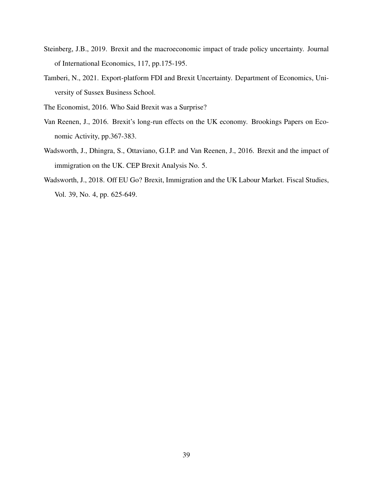- Steinberg, J.B., 2019. Brexit and the macroeconomic impact of trade policy uncertainty. Journal of International Economics, 117, pp.175-195.
- Tamberi, N., 2021. Export-platform FDI and Brexit Uncertainty. Department of Economics, University of Sussex Business School.

The Economist, 2016. Who Said Brexit was a Surprise?

- Van Reenen, J., 2016. Brexit's long-run effects on the UK economy. Brookings Papers on Economic Activity, pp.367-383.
- Wadsworth, J., Dhingra, S., Ottaviano, G.I.P. and Van Reenen, J., 2016. Brexit and the impact of immigration on the UK. CEP Brexit Analysis No. 5.
- Wadsworth, J., 2018. Off EU Go? Brexit, Immigration and the UK Labour Market. Fiscal Studies, Vol. 39, No. 4, pp. 625-649.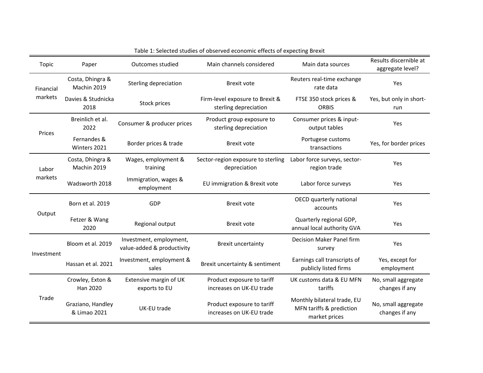| Topic                | Paper                             | Outcomes studied                                      | Main channels considered                                 | Main data sources                                                        | Results discernible at<br>aggregate level? |
|----------------------|-----------------------------------|-------------------------------------------------------|----------------------------------------------------------|--------------------------------------------------------------------------|--------------------------------------------|
| Financial<br>markets | Costa, Dhingra &<br>Machin 2019   | Sterling depreciation                                 | <b>Brexit vote</b>                                       | Reuters real-time exchange<br>rate data                                  | Yes                                        |
|                      | Davies & Studnicka<br>2018        | Stock prices                                          | Firm-level exposure to Brexit &<br>sterling depreciation | FTSE 350 stock prices &<br><b>ORBIS</b>                                  | Yes, but only in short-<br>run             |
| Prices               | Breinlich et al.<br>2022          | Consumer & producer prices                            | Product group exposure to<br>sterling depreciation       | Consumer prices & input-<br>output tables                                | Yes                                        |
|                      | Fernandes &<br>Winters 2021       | Border prices & trade                                 | <b>Brexit vote</b>                                       | Portugese customs<br>transactions                                        | Yes, for border prices                     |
| Labor<br>markets     | Costa, Dhingra &<br>Machin 2019   | Wages, employment &<br>training                       | Sector-region exposure to sterling<br>depreciation       | Labor force surveys, sector-<br>region trade                             | Yes                                        |
|                      | Wadsworth 2018                    | Immigration, wages &<br>employment                    | EU immigration & Brexit vote                             | Labor force surveys                                                      | Yes                                        |
| Output               | Born et al. 2019                  | GDP                                                   | <b>Brexit vote</b>                                       | OECD quarterly national<br>accounts                                      | Yes                                        |
|                      | Fetzer & Wang<br>2020             | Regional output                                       | <b>Brexit vote</b>                                       | Quarterly regional GDP,<br>annual local authority GVA                    | Yes                                        |
| Investment           | Bloom et al. 2019                 | Investment, employment,<br>value-added & productivity | <b>Brexit uncertainty</b>                                | Decision Maker Panel firm<br>survey                                      | Yes                                        |
|                      | Hassan et al. 2021                | Investment, employment &<br>sales                     | Brexit uncertainty & sentiment                           | Earnings call transcripts of<br>publicly listed firms                    | Yes, except for<br>employment              |
| Trade                | Crowley, Exton &<br>Han 2020      | Extensive margin of UK<br>exports to EU               | Product exposure to tariff<br>increases on UK-EU trade   | UK customs data & EU MFN<br>tariffs                                      | No, small aggregate<br>changes if any      |
|                      | Graziano, Handley<br>& Limao 2021 | UK-EU trade                                           | Product exposure to tariff<br>increases on UK-EU trade   | Monthly bilateral trade, EU<br>MFN tariffs & prediction<br>market prices | No, small aggregate<br>changes if any      |

Table 1: Selected studies of observed economic effects of expecting Brexit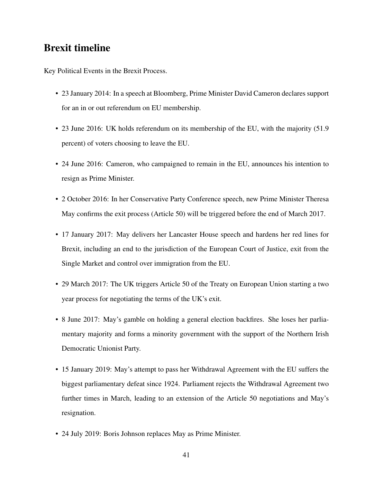## Brexit timeline

Key Political Events in the Brexit Process.

- 23 January 2014: In a speech at Bloomberg, Prime Minister David Cameron declares support for an in or out referendum on EU membership.
- 23 June 2016: UK holds referendum on its membership of the EU, with the majority (51.9 percent) of voters choosing to leave the EU.
- 24 June 2016: Cameron, who campaigned to remain in the EU, announces his intention to resign as Prime Minister.
- 2 October 2016: In her Conservative Party Conference speech, new Prime Minister Theresa May confirms the exit process (Article 50) will be triggered before the end of March 2017.
- 17 January 2017: May delivers her Lancaster House speech and hardens her red lines for Brexit, including an end to the jurisdiction of the European Court of Justice, exit from the Single Market and control over immigration from the EU.
- 29 March 2017: The UK triggers Article 50 of the Treaty on European Union starting a two year process for negotiating the terms of the UK's exit.
- 8 June 2017: May's gamble on holding a general election backfires. She loses her parliamentary majority and forms a minority government with the support of the Northern Irish Democratic Unionist Party.
- 15 January 2019: May's attempt to pass her Withdrawal Agreement with the EU suffers the biggest parliamentary defeat since 1924. Parliament rejects the Withdrawal Agreement two further times in March, leading to an extension of the Article 50 negotiations and May's resignation.
- 24 July 2019: Boris Johnson replaces May as Prime Minister.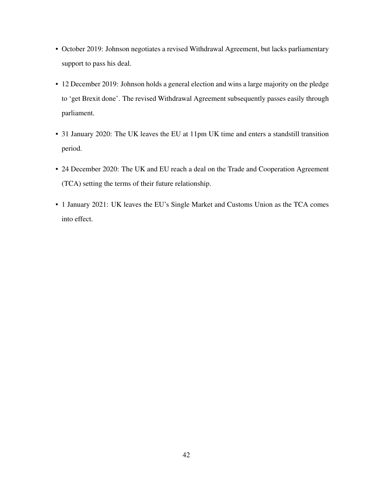- October 2019: Johnson negotiates a revised Withdrawal Agreement, but lacks parliamentary support to pass his deal.
- 12 December 2019: Johnson holds a general election and wins a large majority on the pledge to 'get Brexit done'. The revised Withdrawal Agreement subsequently passes easily through parliament.
- 31 January 2020: The UK leaves the EU at 11pm UK time and enters a standstill transition period.
- 24 December 2020: The UK and EU reach a deal on the Trade and Cooperation Agreement (TCA) setting the terms of their future relationship.
- 1 January 2021: UK leaves the EU's Single Market and Customs Union as the TCA comes into effect.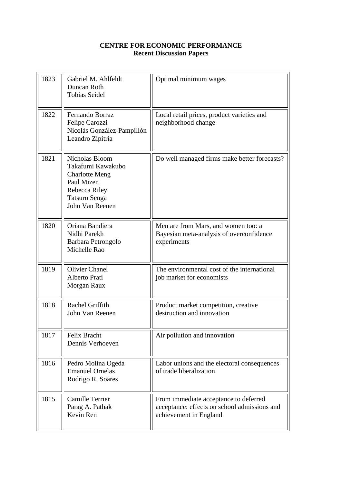#### **CENTRE FOR ECONOMIC PERFORMANCE Recent Discussion Papers**

| 1823 | Gabriel M. Ahlfeldt<br>Duncan Roth<br><b>Tobias Seidel</b>                                                                             | Optimal minimum wages                                                                                           |
|------|----------------------------------------------------------------------------------------------------------------------------------------|-----------------------------------------------------------------------------------------------------------------|
| 1822 | Fernando Borraz<br>Felipe Carozzi<br>Nicolás González-Pampillón<br>Leandro Zipitría                                                    | Local retail prices, product varieties and<br>neighborhood change                                               |
| 1821 | Nicholas Bloom<br>Takafumi Kawakubo<br><b>Charlotte Meng</b><br>Paul Mizen<br>Rebecca Riley<br><b>Tatsuro Senga</b><br>John Van Reenen | Do well managed firms make better forecasts?                                                                    |
| 1820 | Oriana Bandiera<br>Nidhi Parekh<br>Barbara Petrongolo<br>Michelle Rao                                                                  | Men are from Mars, and women too: a<br>Bayesian meta-analysis of overconfidence<br>experiments                  |
| 1819 | <b>Olivier Chanel</b><br>Alberto Prati<br>Morgan Raux                                                                                  | The environmental cost of the international<br>job market for economists                                        |
| 1818 | Rachel Griffith<br>John Van Reenen                                                                                                     | Product market competition, creative<br>destruction and innovation                                              |
| 1817 | Felix Bracht<br>Dennis Verhoeven                                                                                                       | Air pollution and innovation                                                                                    |
| 1816 | Pedro Molina Ogeda<br><b>Emanuel Ornelas</b><br>Rodrigo R. Soares                                                                      | Labor unions and the electoral consequences<br>of trade liberalization                                          |
| 1815 | <b>Camille Terrier</b><br>Parag A. Pathak<br>Kevin Ren                                                                                 | From immediate acceptance to deferred<br>acceptance: effects on school admissions and<br>achievement in England |